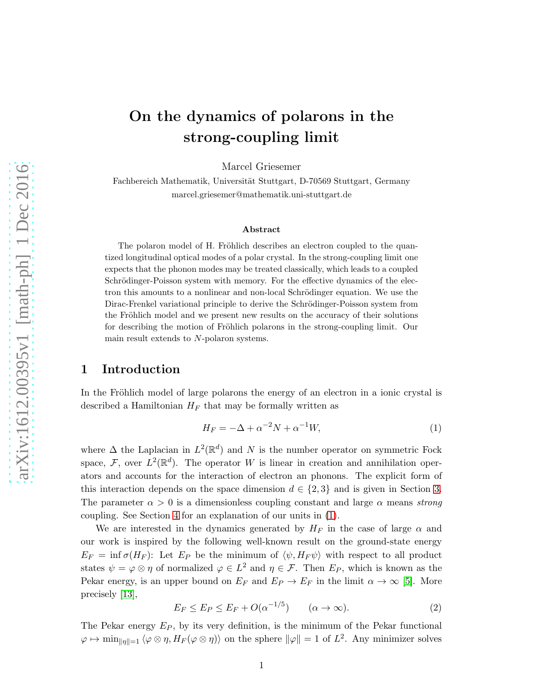# On the dynamics of polarons in the strong-coupling limit

Marcel Griesemer

Fachbereich Mathematik, Universität Stuttgart, D-70569 Stuttgart, Germany marcel.griesemer@mathematik.uni-stuttgart.de

#### Abstract

The polaron model of H. Fröhlich describes an electron coupled to the quantized longitudinal optical modes of a polar crystal. In the strong-coupling limit one expects that the phonon modes may be treated classically, which leads to a coupled Schrödinger-Poisson system with memory. For the effective dynamics of the electron this amounts to a nonlinear and non-local Schrödinger equation. We use the Dirac-Frenkel variational principle to derive the Schrödinger-Poisson system from the Fröhlich model and we present new results on the accuracy of their solutions for describing the motion of Fröhlich polarons in the strong-coupling limit. Our main result extends to N-polaron systems.

# 1 Introduction

In the Fröhlich model of large polarons the energy of an electron in a ionic crystal is described a Hamiltonian  $H_F$  that may be formally written as

<span id="page-0-0"></span>
$$
H_F = -\Delta + \alpha^{-2}N + \alpha^{-1}W,\tag{1}
$$

where  $\Delta$  the Laplacian in  $L^2(\mathbb{R}^d)$  and N is the number operator on symmetric Fock space, F, over  $L^2(\mathbb{R}^d)$ . The operator W is linear in creation and annihilation operators and accounts for the interaction of electron an phonons. The explicit form of this interaction depends on the space dimension  $d \in \{2,3\}$  and is given in Section [3.](#page-5-0) The parameter  $\alpha > 0$  is a dimensionless coupling constant and large  $\alpha$  means *strong* coupling. See Section [4](#page-8-0) for an explanation of our units in [\(1\)](#page-0-0).

We are interested in the dynamics generated by  $H_F$  in the case of large  $\alpha$  and our work is inspired by the following well-known result on the ground-state energy  $E_F = \inf \sigma(H_F)$ : Let  $E_P$  be the minimum of  $\langle \psi, H_F \psi \rangle$  with respect to all product states  $\psi = \varphi \otimes \eta$  of normalized  $\varphi \in L^2$  and  $\eta \in \mathcal{F}$ . Then  $E_P$ , which is known as the Pekar energy, is an upper bound on  $E_F$  and  $E_P \to E_F$  in the limit  $\alpha \to \infty$  [\[5\]](#page-19-0). More precisely [\[13\]](#page-19-1),

<span id="page-0-1"></span>
$$
E_F \le E_P \le E_F + O(\alpha^{-1/5}) \qquad (\alpha \to \infty). \tag{2}
$$

The Pekar energy  $E_P$ , by its very definition, is the minimum of the Pekar functional  $\varphi \mapsto \min_{\|\eta\|=1} \langle \varphi \otimes \eta, H_F(\varphi \otimes \eta) \rangle$  on the sphere  $\|\varphi\| = 1$  of  $L^2$ . Any minimizer solves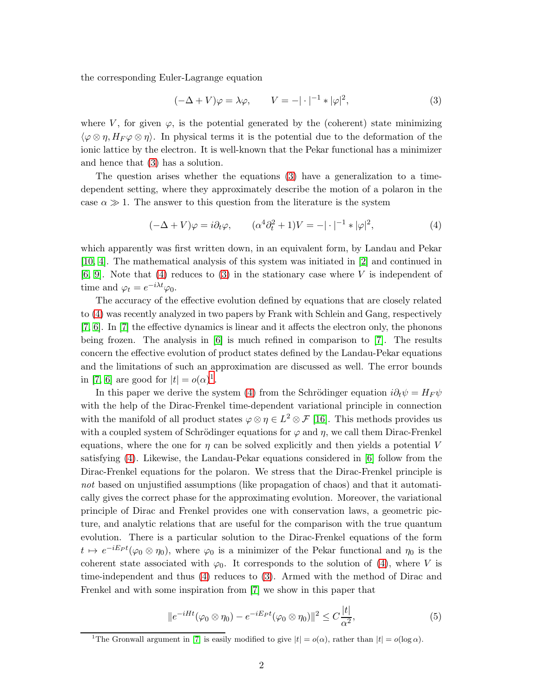the corresponding Euler-Lagrange equation

<span id="page-1-0"></span>
$$
(-\Delta + V)\varphi = \lambda\varphi, \qquad V = -|\cdot|^{-1} * |\varphi|^2,\tag{3}
$$

where V, for given  $\varphi$ , is the potential generated by the (coherent) state minimizing  $\langle \varphi \otimes \eta, H_F \varphi \otimes \eta \rangle$ . In physical terms it is the potential due to the deformation of the ionic lattice by the electron. It is well-known that the Pekar functional has a minimizer and hence that [\(3\)](#page-1-0) has a solution.

The question arises whether the equations [\(3\)](#page-1-0) have a generalization to a timedependent setting, where they approximately describe the motion of a polaron in the case  $\alpha \gg 1$ . The answer to this question from the literature is the system

<span id="page-1-1"></span>
$$
(-\Delta + V)\varphi = i\partial_t\varphi, \qquad (\alpha^4 \partial_t^2 + 1)V = -|\cdot|^{-1} * |\varphi|^2,\tag{4}
$$

which apparently was first written down, in an equivalent form, by Landau and Pekar [\[10,](#page-19-2) [4\]](#page-19-3). The mathematical analysis of this system was initiated in [\[2\]](#page-19-4) and continued in  $[6, 9]$  $[6, 9]$ . Note that [\(4\)](#page-1-1) reduces to [\(3\)](#page-1-0) in the stationary case where V is independent of time and  $\varphi_t = e^{-i\lambda t} \varphi_0$ .

The accuracy of the effective evolution defined by equations that are closely related to [\(4\)](#page-1-1) was recently analyzed in two papers by Frank with Schlein and Gang, respectively [\[7,](#page-19-7) [6\]](#page-19-5). In [\[7\]](#page-19-7) the effective dynamics is linear and it affects the electron only, the phonons being frozen. The analysis in [\[6\]](#page-19-5) is much refined in comparison to [\[7\]](#page-19-7). The results concern the effective evolution of product states defined by the Landau-Pekar equations and the limitations of such an approximation are discussed as well. The error bounds in [\[7,](#page-19-7) [6\]](#page-19-5) are good for  $|t| = o(\alpha)^1$  $|t| = o(\alpha)^1$ .

In this paper we derive the system [\(4\)](#page-1-1) from the Schrödinger equation  $i\partial_t \psi = H_F \psi$ with the help of the Dirac-Frenkel time-dependent variational principle in connection with the manifold of all product states  $\varphi \otimes \eta \in L^2 \otimes \mathcal{F}$  [\[16\]](#page-19-8). This methods provides us with a coupled system of Schrödinger equations for  $\varphi$  and  $\eta$ , we call them Dirac-Frenkel equations, where the one for  $\eta$  can be solved explicitly and then yields a potential V satisfying [\(4\)](#page-1-1). Likewise, the Landau-Pekar equations considered in [\[6\]](#page-19-5) follow from the Dirac-Frenkel equations for the polaron. We stress that the Dirac-Frenkel principle is *not* based on unjustified assumptions (like propagation of chaos) and that it automatically gives the correct phase for the approximating evolution. Moreover, the variational principle of Dirac and Frenkel provides one with conservation laws, a geometric picture, and analytic relations that are useful for the comparison with the true quantum evolution. There is a particular solution to the Dirac-Frenkel equations of the form  $t \mapsto e^{-iE_P t}(\varphi_0 \otimes \eta_0)$ , where  $\varphi_0$  is a minimizer of the Pekar functional and  $\eta_0$  is the coherent state associated with  $\varphi_0$ . It corresponds to the solution of [\(4\)](#page-1-1), where V is time-independent and thus [\(4\)](#page-1-1) reduces to [\(3\)](#page-1-0). Armed with the method of Dirac and Frenkel and with some inspiration from [\[7\]](#page-19-7) we show in this paper that

<span id="page-1-3"></span>
$$
||e^{-iHt}(\varphi_0 \otimes \eta_0) - e^{-iE_Pt}(\varphi_0 \otimes \eta_0)||^2 \le C\frac{|t|}{\alpha^2},
$$
\n<sup>(5)</sup>

<span id="page-1-2"></span><sup>&</sup>lt;sup>1</sup>The Gronwall argument in [\[7\]](#page-19-7) is easily modified to give  $|t| = o(\alpha)$ , rather than  $|t| = o(\log \alpha)$ .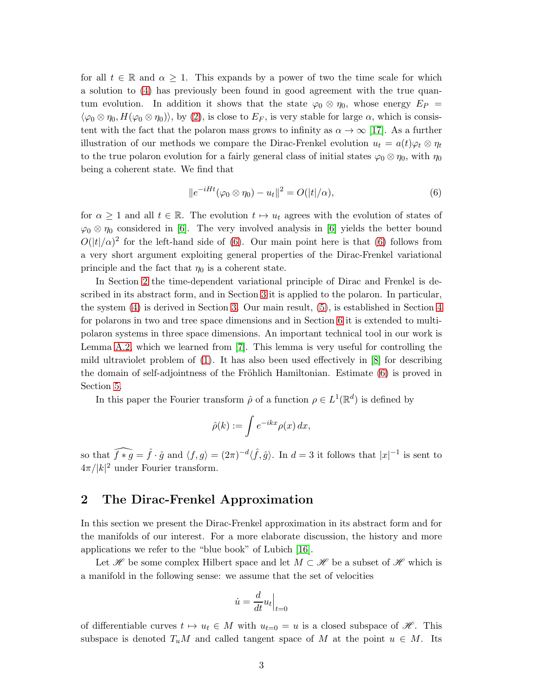for all  $t \in \mathbb{R}$  and  $\alpha \geq 1$ . This expands by a power of two the time scale for which a solution to [\(4\)](#page-1-1) has previously been found in good agreement with the true quantum evolution. In addition it shows that the state  $\varphi_0 \otimes \eta_0$ , whose energy  $E_P =$  $\langle \varphi_0 \otimes \eta_0, H(\varphi_0 \otimes \eta_0) \rangle$ , by [\(2\)](#page-0-1), is close to  $E_F$ , is very stable for large  $\alpha$ , which is consistent with the fact that the polaron mass grows to infinity as  $\alpha \to \infty$  [\[17\]](#page-20-0). As a further illustration of our methods we compare the Dirac-Frenkel evolution  $u_t = a(t)\varphi_t \otimes \eta_t$ to the true polaron evolution for a fairly general class of initial states  $\varphi_0 \otimes \eta_0$ , with  $\eta_0$ being a coherent state. We find that

<span id="page-2-0"></span>
$$
||e^{-iHt}(\varphi_0 \otimes \eta_0) - u_t||^2 = O(|t|/\alpha), \qquad (6)
$$

for  $\alpha \geq 1$  and all  $t \in \mathbb{R}$ . The evolution  $t \mapsto u_t$  agrees with the evolution of states of  $\varphi_0 \otimes \eta_0$  considered in [\[6\]](#page-19-5). The very involved analysis in [6] yields the better bound  $O(|t|/\alpha)^2$  for the left-hand side of [\(6\)](#page-2-0). Our main point here is that (6) follows from a very short argument exploiting general properties of the Dirac-Frenkel variational principle and the fact that  $\eta_0$  is a coherent state.

In Section [2](#page-2-1) the time-dependent variational principle of Dirac and Frenkel is described in its abstract form, and in Section [3](#page-5-0) it is applied to the polaron. In particular, the system [\(4\)](#page-1-1) is derived in Section [3.](#page-5-0) Our main result, [\(5\)](#page-1-3), is established in Section [4](#page-8-0) for polarons in two and tree space dimensions and in Section [6](#page-14-0) it is extended to multipolaron systems in three space dimensions. An important technical tool in our work is Lemma [A.2,](#page-16-0) which we learned from [\[7\]](#page-19-7). This lemma is very useful for controlling the mild ultraviolet problem of [\(1\)](#page-0-0). It has also been used effectively in [\[8\]](#page-19-9) for describing the domain of self-adjointness of the Fröhlich Hamiltonian. Estimate  $(6)$  is proved in Section [5.](#page-12-0)

In this paper the Fourier transform  $\hat{\rho}$  of a function  $\rho \in L^1(\mathbb{R}^d)$  is defined by

$$
\hat{\rho}(k) := \int e^{-ikx} \rho(x) \, dx,
$$

so that  $\widehat{f*g} = \hat{f} \cdot \hat{g}$  and  $\langle f, g \rangle = (2\pi)^{-d} \langle \hat{f}, \hat{g} \rangle$ . In  $d = 3$  it follows that  $|x|^{-1}$  is sent to  $4\pi/|k|^2$  under Fourier transform.

# <span id="page-2-1"></span>2 The Dirac-Frenkel Approximation

In this section we present the Dirac-Frenkel approximation in its abstract form and for the manifolds of our interest. For a more elaborate discussion, the history and more applications we refer to the "blue book" of Lubich [\[16\]](#page-19-8).

Let H be some complex Hilbert space and let  $M \subset \mathcal{H}$  be a subset of H which is a manifold in the following sense: we assume that the set of velocities

$$
\dot{u} = \frac{d}{dt} u_t \Big|_{t=0}
$$

of differentiable curves  $t \mapsto u_t \in M$  with  $u_{t=0} = u$  is a closed subspace of  $\mathscr{H}$ . This subspace is denoted  $T_uM$  and called tangent space of M at the point  $u \in M$ . Its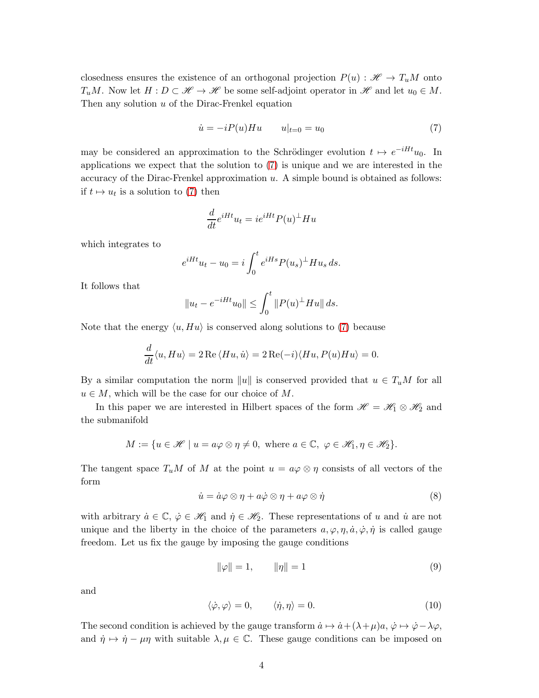closedness ensures the existence of an orthogonal projection  $P(u): \mathcal{H} \to T_uM$  onto  $T_uM$ . Now let  $H: D \subset \mathcal{H} \to \mathcal{H}$  be some self-adjoint operator in  $\mathcal{H}$  and let  $u_0 \in M$ . Then any solution  $u$  of the Dirac-Frenkel equation

<span id="page-3-0"></span>
$$
\dot{u} = -iP(u)Hu \t u|_{t=0} = u_0 \t(7)
$$

may be considered an approximation to the Schrödinger evolution  $t \mapsto e^{-iHt}u_0$ . In applications we expect that the solution to [\(7\)](#page-3-0) is unique and we are interested in the accuracy of the Dirac-Frenkel approximation  $u$ . A simple bound is obtained as follows: if  $t \mapsto u_t$  is a solution to [\(7\)](#page-3-0) then

$$
\frac{d}{dt}e^{iHt}u_t = ie^{iHt}P(u)^{\perp}Hu
$$

which integrates to

$$
e^{iHt}u_t - u_0 = i \int_0^t e^{iHs} P(u_s)^{\perp} H u_s ds.
$$

It follows that

$$
||u_t - e^{-iHt}u_0|| \le \int_0^t ||P(u)^{\perp}Hu|| ds.
$$

Note that the energy  $\langle u, H u \rangle$  is conserved along solutions to [\(7\)](#page-3-0) because

$$
\frac{d}{dt}\langle u, Hu\rangle = 2 \operatorname{Re}\langle Hu, \dot{u}\rangle = 2 \operatorname{Re}(-i)\langle Hu, P(u)Hu\rangle = 0.
$$

By a similar computation the norm  $||u||$  is conserved provided that  $u \in T_uM$  for all  $u \in M$ , which will be the case for our choice of M.

In this paper we are interested in Hilbert spaces of the form  $\mathscr{H} = \mathscr{H}_1 \otimes \mathscr{H}_2$  and the submanifold

$$
M := \{ u \in \mathcal{H} \mid u = a\varphi \otimes \eta \neq 0, \text{ where } a \in \mathbb{C}, \varphi \in \mathcal{H}_1, \eta \in \mathcal{H}_2 \}.
$$

The tangent space  $T_uM$  of M at the point  $u = a\varphi \otimes \eta$  consists of all vectors of the form

<span id="page-3-3"></span>
$$
\dot{u} = \dot{a}\varphi \otimes \eta + a\dot{\varphi} \otimes \eta + a\varphi \otimes \dot{\eta}
$$
 (8)

with arbitrary  $\dot{a} \in \mathbb{C}$ ,  $\dot{\varphi} \in \mathcal{H}_1$  and  $\dot{\eta} \in \mathcal{H}_2$ . These representations of u and  $\dot{u}$  are not unique and the liberty in the choice of the parameters  $a, \varphi, \eta, \dot{a}, \dot{\varphi}, \dot{\eta}$  is called gauge freedom. Let us fix the gauge by imposing the gauge conditions

<span id="page-3-1"></span>
$$
\|\varphi\| = 1, \qquad \|\eta\| = 1 \tag{9}
$$

and

<span id="page-3-2"></span>
$$
\langle \dot{\varphi}, \varphi \rangle = 0, \qquad \langle \dot{\eta}, \eta \rangle = 0. \tag{10}
$$

The second condition is achieved by the gauge transform  $\dot{a} \mapsto \dot{a} + (\lambda + \mu)a$ ,  $\dot{\varphi} \mapsto \dot{\varphi} - \lambda \varphi$ , and  $\dot{\eta} \mapsto \dot{\eta} - \mu \eta$  with suitable  $\lambda, \mu \in \mathbb{C}$ . These gauge conditions can be imposed on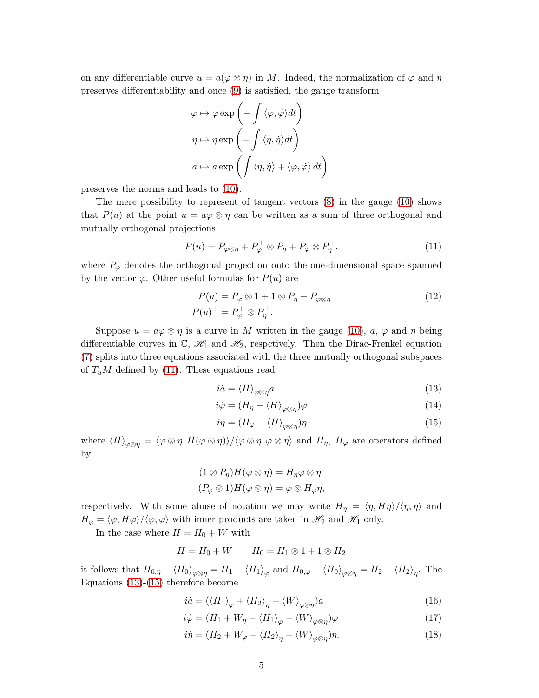on any differentiable curve  $u = a(\varphi \otimes \eta)$  in M. Indeed, the normalization of  $\varphi$  and  $\eta$ preserves differentiability and once [\(9\)](#page-3-1) is satisfied, the gauge transform

$$
\varphi \mapsto \varphi \exp\left(-\int \langle \varphi, \dot{\varphi} \rangle dt\right)
$$

$$
\eta \mapsto \eta \exp\left(-\int \langle \eta, \dot{\eta} \rangle dt\right)
$$

$$
a \mapsto a \exp\left(\int \langle \eta, \dot{\eta} \rangle + \langle \varphi, \dot{\varphi} \rangle dt\right)
$$

preserves the norms and leads to [\(10\)](#page-3-2).

The mere possibility to represent of tangent vectors [\(8\)](#page-3-3) in the gauge [\(10\)](#page-3-2) shows that  $P(u)$  at the point  $u = a\varphi \otimes \eta$  can be written as a sum of three orthogonal and mutually orthogonal projections

<span id="page-4-0"></span>
$$
P(u) = P_{\varphi \otimes \eta} + P_{\varphi}^{\perp} \otimes P_{\eta} + P_{\varphi} \otimes P_{\eta}^{\perp}, \tag{11}
$$

where  $P_{\varphi}$  denotes the orthogonal projection onto the one-dimensional space spanned by the vector  $\varphi$ . Other useful formulas for  $P(u)$  are

$$
P(u) = P_{\varphi} \otimes 1 + 1 \otimes P_{\eta} - P_{\varphi \otimes \eta}
$$
  
\n
$$
P(u)^{\perp} = P_{\varphi}^{\perp} \otimes P_{\eta}^{\perp}.
$$
\n(12)

Suppose  $u = a\varphi \otimes \eta$  is a curve in M written in the gauge [\(10\)](#page-3-2),  $a, \varphi$  and  $\eta$  being differentiable curves in  $\mathbb{C}$ ,  $\mathcal{H}_1$  and  $\mathcal{H}_2$ , respectively. Then the Dirac-Frenkel equation [\(7\)](#page-3-0) splits into three equations associated with the three mutually orthogonal subspaces of  $T_uM$  defined by [\(11\)](#page-4-0). These equations read

<span id="page-4-6"></span><span id="page-4-1"></span>
$$
i\dot{a} = \langle H \rangle_{\varphi \otimes \eta} a \tag{13}
$$

$$
i\dot{\varphi} = (H_{\eta} - \langle H \rangle_{\varphi \otimes \eta})\varphi \tag{14}
$$

<span id="page-4-2"></span>
$$
i\dot{\eta} = (H_{\varphi} - \langle H \rangle_{\varphi \otimes \eta})\eta \tag{15}
$$

where  $\langle H \rangle_{\varphi \otimes \eta} = \langle \varphi \otimes \eta, H(\varphi \otimes \eta) \rangle / \langle \varphi \otimes \eta, \varphi \otimes \eta \rangle$  and  $H_{\eta}$ ,  $H_{\varphi}$  are operators defined by

$$
(1 \otimes P_{\eta})H(\varphi \otimes \eta) = H_{\eta}\varphi \otimes \eta
$$

$$
(P_{\varphi} \otimes 1)H(\varphi \otimes \eta) = \varphi \otimes H_{\varphi}\eta,
$$

respectively. With some abuse of notation we may write  $H_{\eta} = \langle \eta, H\eta \rangle / \langle \eta, \eta \rangle$  and  $H_{\varphi} = \langle \varphi, H\varphi \rangle / \langle \varphi, \varphi \rangle$  with inner products are taken in  $\mathcal{H}_2$  and  $\mathcal{H}_1$  only.

In the case where  $H = H_0 + W$  with

$$
H = H_0 + W \qquad H_0 = H_1 \otimes 1 + 1 \otimes H_2
$$

it follows that  $H_{0,\eta} - \langle H_0 \rangle_{\varphi \otimes \eta} = H_1 - \langle H_1 \rangle_{\varphi}$  and  $H_{0,\varphi} - \langle H_0 \rangle_{\varphi \otimes \eta} = H_2 - \langle H_2 \rangle_{\eta}$ . The Equations [\(13\)](#page-4-1)-[\(15\)](#page-4-2) therefore become

$$
i\dot{a} = (\langle H_1 \rangle_{\varphi} + \langle H_2 \rangle_{\eta} + \langle W \rangle_{\varphi \otimes \eta})a \tag{16}
$$

<span id="page-4-5"></span>
$$
i\dot{\varphi} = (H_1 + W_\eta - \langle H_1 \rangle_\varphi - \langle W \rangle_{\varphi \otimes \eta})\varphi \tag{17}
$$

<span id="page-4-4"></span><span id="page-4-3"></span>
$$
i\dot{\eta} = (H_2 + W_{\varphi} - \langle H_2 \rangle_{\eta} - \langle W \rangle_{\varphi \otimes \eta}) \eta.
$$
 (18)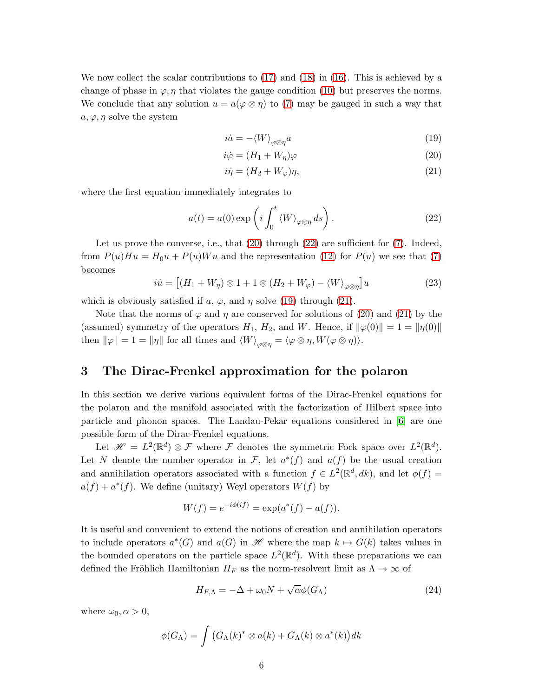We now collect the scalar contributions to [\(17\)](#page-4-3) and [\(18\)](#page-4-4) in [\(16\)](#page-4-5). This is achieved by a change of phase in  $\varphi$ ,  $\eta$  that violates the gauge condition [\(10\)](#page-3-2) but preserves the norms. We conclude that any solution  $u = a(\varphi \otimes \eta)$  to [\(7\)](#page-3-0) may be gauged in such a way that  $a, \varphi, \eta$  solve the system

<span id="page-5-3"></span><span id="page-5-1"></span>
$$
i\dot{a} = -\langle W \rangle_{\varphi \otimes \eta} a \tag{19}
$$

$$
i\dot{\varphi} = (H_1 + W_\eta)\varphi\tag{20}
$$

<span id="page-5-4"></span>
$$
i\dot{\eta} = (H_2 + W_{\varphi})\eta,\tag{21}
$$

where the first equation immediately integrates to

<span id="page-5-2"></span>
$$
a(t) = a(0) \exp\left(i \int_0^t \langle W \rangle_{\varphi \otimes \eta} ds\right).
$$
 (22)

Let us prove the converse, i.e., that  $(20)$  through  $(22)$  are sufficient for  $(7)$ . Indeed, from  $P(u)Hu = H_0u + P(u)Wu$  and the representation [\(12\)](#page-4-6) for  $P(u)$  we see that [\(7\)](#page-3-0) becomes

<span id="page-5-6"></span>
$$
i\dot{u} = \left[ (H_1 + W_\eta) \otimes 1 + 1 \otimes (H_2 + W_\varphi) - \langle W \rangle_{\varphi \otimes \eta} \right] u \tag{23}
$$

which is obviously satisfied if a,  $\varphi$ , and  $\eta$  solve [\(19\)](#page-5-3) through [\(21\)](#page-5-4).

Note that the norms of  $\varphi$  and  $\eta$  are conserved for solutions of [\(20\)](#page-5-1) and [\(21\)](#page-5-4) by the (assumed) symmetry of the operators  $H_1$ ,  $H_2$ , and W. Hence, if  $\|\varphi(0)\| = 1 = \|\eta(0)\|$ then  $\|\varphi\| = 1 = \|\eta\|$  for all times and  $\langle W\rangle_{\varphi\otimes\eta} = \langle \varphi\otimes\eta, W(\varphi\otimes\eta)\rangle.$ 

# <span id="page-5-0"></span>3 The Dirac-Frenkel approximation for the polaron

In this section we derive various equivalent forms of the Dirac-Frenkel equations for the polaron and the manifold associated with the factorization of Hilbert space into particle and phonon spaces. The Landau-Pekar equations considered in [\[6\]](#page-19-5) are one possible form of the Dirac-Frenkel equations.

Let  $\mathscr{H} = L^2(\mathbb{R}^d) \otimes \mathcal{F}$  where  $\mathcal F$  denotes the symmetric Fock space over  $L^2(\mathbb{R}^d)$ . Let N denote the number operator in F, let  $a^*(f)$  and  $a(f)$  be the usual creation and annihilation operators associated with a function  $f \in L^2(\mathbb{R}^d, dk)$ , and let  $\phi(f)$  =  $a(f) + a^*(f)$ . We define (unitary) Weyl operators  $W(f)$  by

$$
W(f) = e^{-i\phi(if)} = \exp(a^*(f) - a(f)).
$$

It is useful and convenient to extend the notions of creation and annihilation operators to include operators  $a^*(G)$  and  $a(G)$  in  $\mathscr{H}$  where the map  $k \mapsto G(k)$  takes values in the bounded operators on the particle space  $L^2(\mathbb{R}^d)$ . With these preparations we can defined the Fröhlich Hamiltonian  $H_F$  as the norm-resolvent limit as  $\Lambda \to \infty$  of

<span id="page-5-5"></span>
$$
H_{F,\Lambda} = -\Delta + \omega_0 N + \sqrt{\alpha} \phi(G_\Lambda)
$$
\n(24)

where  $\omega_0, \alpha > 0$ ,

$$
\phi(G_{\Lambda}) = \int \big(G_{\Lambda}(k)^* \otimes a(k) + G_{\Lambda}(k) \otimes a^*(k)\big) dk
$$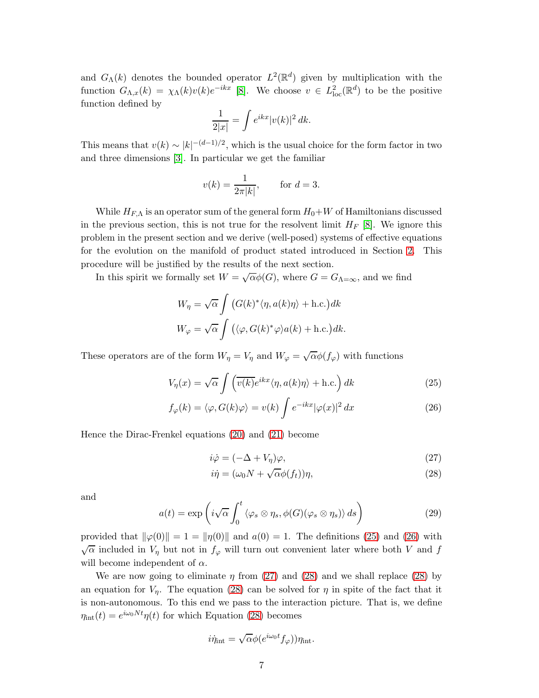and  $G_{\Lambda}(k)$  denotes the bounded operator  $L^2(\mathbb{R}^d)$  given by multiplication with the function  $G_{\Lambda,x}(k) = \chi_{\Lambda}(k)v(k)e^{-ikx}$  [\[8\]](#page-19-9). We choose  $v \in L^2_{loc}(\mathbb{R}^d)$  to be the positive function defined by

$$
\frac{1}{2|x|} = \int e^{ikx} |v(k)|^2 dk.
$$

This means that  $v(k) \sim |k|^{-(d-1)/2}$ , which is the usual choice for the form factor in two and three dimensions [\[3\]](#page-19-10). In particular we get the familiar

$$
v(k) = \frac{1}{2\pi|k|}, \quad \text{for } d = 3.
$$

While  $H_{F,\Lambda}$  is an operator sum of the general form  $H_0+W$  of Hamiltonians discussed in the previous section, this is not true for the resolvent limit  $H_F$  [\[8\]](#page-19-9). We ignore this problem in the present section and we derive (well-posed) systems of effective equations for the evolution on the manifold of product stated introduced in Section [2.](#page-2-1) This procedure will be justified by the results of the next section.

In this spirit we formally set  $W = \sqrt{\alpha} \phi(G)$ , where  $G = G_{\Lambda=\infty}$ , and we find

$$
W_{\eta} = \sqrt{\alpha} \int (G(k)^{*} \langle \eta, a(k)\eta \rangle + \text{h.c.}) dk
$$
  

$$
W_{\varphi} = \sqrt{\alpha} \int (\langle \varphi, G(k)^{*} \varphi \rangle a(k) + \text{h.c.}) dk.
$$

These operators are of the form  $W_{\eta} = V_{\eta}$  and  $W_{\varphi} = \sqrt{\alpha} \phi(f_{\varphi})$  with functions

$$
V_{\eta}(x) = \sqrt{\alpha} \int \left(\overline{v(k)} e^{ikx} \langle \eta, a(k)\eta \rangle + \text{h.c.}\right) dk \tag{25}
$$

$$
f_{\varphi}(k) = \langle \varphi, G(k)\varphi \rangle = v(k) \int e^{-ikx} |\varphi(x)|^2 dx \qquad (26)
$$

Hence the Dirac-Frenkel equations [\(20\)](#page-5-1) and [\(21\)](#page-5-4) become

<span id="page-6-1"></span><span id="page-6-0"></span>
$$
i\dot{\varphi} = (-\Delta + V_{\eta})\varphi, \tag{27}
$$

<span id="page-6-3"></span><span id="page-6-2"></span>
$$
i\dot{\eta} = (\omega_0 N + \sqrt{\alpha}\phi(f_t))\eta,
$$
\n(28)

and

<span id="page-6-4"></span>
$$
a(t) = \exp\left(i\sqrt{\alpha} \int_0^t \langle \varphi_s \otimes \eta_s, \phi(G)(\varphi_s \otimes \eta_s) \rangle ds\right)
$$
 (29)

provided that  $\|\varphi(0)\| = 1 = \|\eta(0)\|$  and  $a(0) = 1$ . The definitions [\(25\)](#page-6-0) and [\(26\)](#page-6-1) with  $\sqrt{\alpha}$  included in  $V_{\eta}$  but not in  $f_{\varphi}$  will turn out convenient later where both V and f will become independent of  $\alpha$ .

We are now going to eliminate  $\eta$  from [\(27\)](#page-6-2) and [\(28\)](#page-6-3) and we shall replace (28) by an equation for  $V_{\eta}$ . The equation [\(28\)](#page-6-3) can be solved for  $\eta$  in spite of the fact that it is non-autonomous. To this end we pass to the interaction picture. That is, we define  $\eta_{\text{int}}(t) = e^{i\omega_0 N t} \eta(t)$  for which Equation [\(28\)](#page-6-3) becomes

$$
i\dot{\eta}_{\rm int} = \sqrt{\alpha} \phi(e^{i\omega_0 t} f_{\varphi})) \eta_{\rm int}.
$$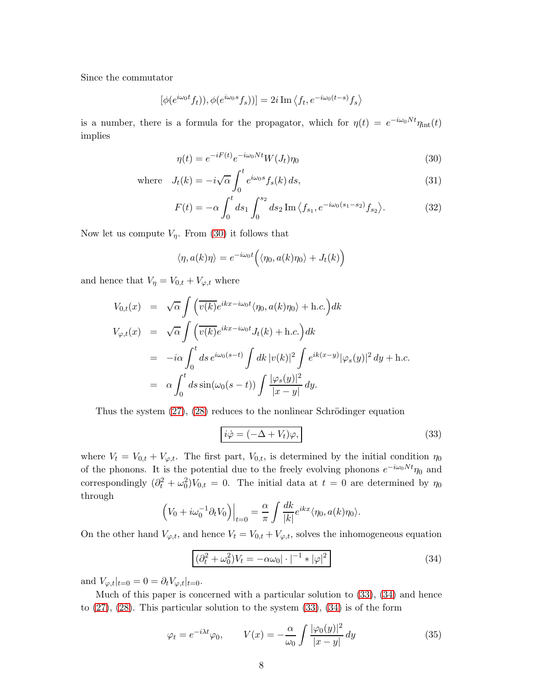Since the commutator

$$
[\phi(e^{i\omega_0 t}f_t)), \phi(e^{i\omega_0 s}f_s))] = 2i \operatorname{Im} \langle f_t, e^{-i\omega_0 (t-s)}f_s \rangle
$$

is a number, there is a formula for the propagator, which for  $\eta(t) = e^{-i\omega_0 N t} \eta_{\text{int}}(t)$ implies

<span id="page-7-0"></span>
$$
\eta(t) = e^{-iF(t)}e^{-i\omega_0 Nt}W(J_t)\eta_0
$$
\n(30)

where 
$$
J_t(k) = -i\sqrt{\alpha} \int_0^t e^{i\omega_0 s} f_s(k) ds,
$$
 (31)

$$
F(t) = -\alpha \int_0^t ds_1 \int_0^{s_2} ds_2 \operatorname{Im} \langle f_{s_1}, e^{-i\omega_0(s_1 - s_2)} f_{s_2} \rangle.
$$
 (32)

Now let us compute  $V_n$ . From [\(30\)](#page-7-0) it follows that

$$
\langle \eta, a(k)\eta \rangle = e^{-i\omega_0 t} \Big( \langle \eta_0, a(k)\eta_0 \rangle + J_t(k) \Big)
$$

and hence that  $V_{\eta} = V_{0,t} + V_{\varphi,t}$  where

$$
V_{0,t}(x) = \sqrt{\alpha} \int \left( \overline{v(k)} e^{ikx - i\omega_0 t} \langle \eta_0, a(k) \eta_0 \rangle + \text{h.c.} \right) dk
$$
  
\n
$$
V_{\varphi,t}(x) = \sqrt{\alpha} \int \left( \overline{v(k)} e^{ikx - i\omega_0 t} J_t(k) + \text{h.c.} \right) dk
$$
  
\n
$$
= -i\alpha \int_0^t ds \, e^{i\omega_0(s-t)} \int dk \, |v(k)|^2 \int e^{ik(x-y)} |\varphi_s(y)|^2 dy + \text{h.c.}
$$
  
\n
$$
= \alpha \int_0^t ds \sin(\omega_0(s-t)) \int \frac{|\varphi_s(y)|^2}{|x-y|} dy.
$$

Thus the system  $(27)$ ,  $(28)$  reduces to the nonlinear Schrödinger equation

<span id="page-7-1"></span>
$$
i\dot{\varphi} = (-\Delta + V_t)\varphi, \qquad (33)
$$

where  $V_t = V_{0,t} + V_{\varphi,t}$ . The first part,  $V_{0,t}$ , is determined by the initial condition  $\eta_0$ of the phonons. It is the potential due to the freely evolving phonons  $e^{-i\omega_0 N t}\eta_0$  and correspondingly  $(\partial_t^2 + \omega_0^2)V_{0,t} = 0$ . The initial data at  $t = 0$  are determined by  $\eta_0$ through

$$
\left(V_0 + i\omega_0^{-1}\partial_t V_0\right)\Big|_{t=0} = \frac{\alpha}{\pi} \int \frac{dk}{|k|} e^{ikx} \langle \eta_0, a(k) \eta_0 \rangle.
$$

On the other hand  $V_{\varphi,t}$ , and hence  $V_t = V_{0,t} + V_{\varphi,t}$ , solves the inhomogeneous equation

<span id="page-7-2"></span>
$$
(\partial_t^2 + \omega_0^2)V_t = -\alpha\omega_0|\cdot|^{-1} * |\varphi|^2
$$
\n(34)

and  $V_{\varphi,t}|_{t=0} = 0 = \partial_t V_{\varphi,t}|_{t=0}$ .

Much of this paper is concerned with a particular solution to [\(33\)](#page-7-1), [\(34\)](#page-7-2) and hence to  $(27)$ ,  $(28)$ . This particular solution to the system  $(33)$ ,  $(34)$  is of the form

<span id="page-7-3"></span>
$$
\varphi_t = e^{-i\lambda t} \varphi_0, \qquad V(x) = -\frac{\alpha}{\omega_0} \int \frac{|\varphi_0(y)|^2}{|x - y|} dy \tag{35}
$$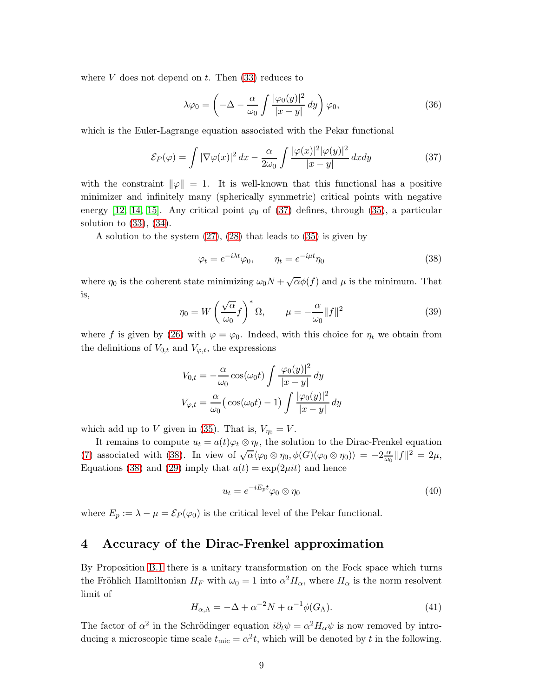where  $V$  does not depend on  $t$ . Then  $(33)$  reduces to

$$
\lambda \varphi_0 = \left( -\Delta - \frac{\alpha}{\omega_0} \int \frac{|\varphi_0(y)|^2}{|x - y|} \, dy \right) \varphi_0,\tag{36}
$$

which is the Euler-Lagrange equation associated with the Pekar functional

<span id="page-8-1"></span>
$$
\mathcal{E}_P(\varphi) = \int |\nabla \varphi(x)|^2 dx - \frac{\alpha}{2\omega_0} \int \frac{|\varphi(x)|^2 |\varphi(y)|^2}{|x - y|} dx dy \tag{37}
$$

with the constraint  $\|\varphi\|=1$ . It is well-known that this functional has a positive minimizer and infinitely many (spherically symmetric) critical points with negative energy [\[12,](#page-19-11) [14,](#page-19-12) [15\]](#page-19-13). Any critical point  $\varphi_0$  of [\(37\)](#page-8-1) defines, through [\(35\)](#page-7-3), a particular solution to [\(33\)](#page-7-1), [\(34\)](#page-7-2).

A solution to the system [\(27\)](#page-6-2), [\(28\)](#page-6-3) that leads to [\(35\)](#page-7-3) is given by

<span id="page-8-2"></span>
$$
\varphi_t = e^{-i\lambda t} \varphi_0, \qquad \eta_t = e^{-i\mu t} \eta_0 \tag{38}
$$

where  $\eta_0$  is the coherent state minimizing  $\omega_0 N + \sqrt{\alpha} \phi(f)$  and  $\mu$  is the minimum. That is,

<span id="page-8-4"></span>
$$
\eta_0 = W \left(\frac{\sqrt{\alpha}}{\omega_0} f\right)^* \Omega, \qquad \mu = -\frac{\alpha}{\omega_0} \|f\|^2 \tag{39}
$$

where f is given by [\(26\)](#page-6-1) with  $\varphi = \varphi_0$ . Indeed, with this choice for  $\eta_t$  we obtain from the definitions of  $V_{0,t}$  and  $V_{\varphi,t}$ , the expressions

$$
V_{0,t} = -\frac{\alpha}{\omega_0} \cos(\omega_0 t) \int \frac{|\varphi_0(y)|^2}{|x-y|} dy
$$
  

$$
V_{\varphi,t} = \frac{\alpha}{\omega_0} \Big( \cos(\omega_0 t) - 1 \Big) \int \frac{|\varphi_0(y)|^2}{|x-y|} dy
$$

which add up to V given in [\(35\)](#page-7-3). That is,  $V_{\eta_0} = V$ .

It remains to compute  $u_t = a(t)\varphi_t \otimes \eta_t$ , the solution to the Dirac-Frenkel equation [\(7\)](#page-3-0) associated with [\(38\)](#page-8-2). In view of  $\sqrt{\alpha} \langle \varphi_0 \otimes \eta_0, \phi(G) (\varphi_0 \otimes \eta_0) \rangle = -2 \frac{\alpha}{\omega_G}$  $\frac{\alpha}{\omega_0}||f||^2 = 2\mu,$ Equations [\(38\)](#page-8-2) and [\(29\)](#page-6-4) imply that  $a(t) = \exp(2\mu i t)$  and hence

$$
u_t = e^{-iE_p t} \varphi_0 \otimes \eta_0 \tag{40}
$$

<span id="page-8-0"></span>where  $E_p := \lambda - \mu = \mathcal{E}_P(\varphi_0)$  is the critical level of the Pekar functional.

### 4 Accuracy of the Dirac-Frenkel approximation

By Proposition [B.1](#page-18-0) there is a unitary transformation on the Fock space which turns the Fröhlich Hamiltonian  $H_F$  with  $\omega_0 = 1$  into  $\alpha^2 H_\alpha$ , where  $H_\alpha$  is the norm resolvent limit of

<span id="page-8-3"></span>
$$
H_{\alpha,\Lambda} = -\Delta + \alpha^{-2}N + \alpha^{-1}\phi(G_{\Lambda}).
$$
\n(41)

The factor of  $\alpha^2$  in the Schrödinger equation  $i\partial_t \psi = \alpha^2 H_\alpha \psi$  is now removed by introducing a microscopic time scale  $t_{\text{mic}} = \alpha^2 t$ , which will be denoted by t in the following.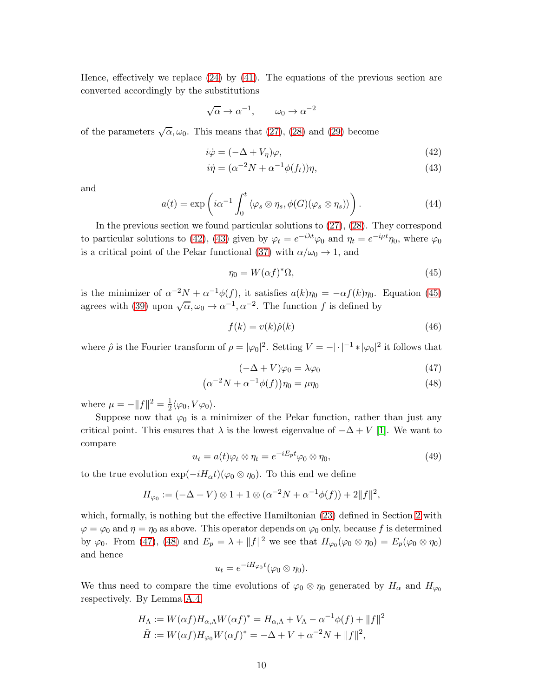Hence, effectively we replace [\(24\)](#page-5-5) by [\(41\)](#page-8-3). The equations of the previous section are converted accordingly by the substitutions

$$
\sqrt{\alpha} \to \alpha^{-1}, \qquad \omega_0 \to \alpha^{-2}
$$

of the parameters  $\sqrt{\alpha}, \omega_0$ . This means that [\(27\)](#page-6-2), [\(28\)](#page-6-3) and [\(29\)](#page-6-4) become

<span id="page-9-0"></span>
$$
i\dot{\varphi} = (-\Delta + V_{\eta})\varphi, \tag{42}
$$

<span id="page-9-1"></span>
$$
i\dot{\eta} = (\alpha^{-2}N + \alpha^{-1}\phi(f_t))\eta,
$$
\n(43)

and

<span id="page-9-6"></span>
$$
a(t) = \exp\left(i\alpha^{-1} \int_0^t \langle \varphi_s \otimes \eta_s, \phi(G)(\varphi_s \otimes \eta_s) \rangle\right).
$$
 (44)

In the previous section we found particular solutions to [\(27\)](#page-6-2), [\(28\)](#page-6-3). They correspond to particular solutions to [\(42\)](#page-9-0), [\(43\)](#page-9-1) given by  $\varphi_t = e^{-i\lambda t} \varphi_0$  and  $\eta_t = e^{-i\mu t} \eta_0$ , where  $\varphi_0$ is a critical point of the Pekar functional [\(37\)](#page-8-1) with  $\alpha/\omega_0 \rightarrow 1$ , and

<span id="page-9-2"></span>
$$
\eta_0 = W(\alpha f)^* \Omega,\tag{45}
$$

is the minimizer of  $\alpha^{-2}N + \alpha^{-1}\phi(f)$ , it satisfies  $a(k)\eta_0 = -\alpha f(k)\eta_0$ . Equation [\(45\)](#page-9-2) agrees with [\(39\)](#page-8-4) upon  $\sqrt{\alpha}, \omega_0 \to \alpha^{-1}, \alpha^{-2}$ . The function f is defined by

<span id="page-9-5"></span>
$$
f(k) = v(k)\hat{\rho}(k) \tag{46}
$$

where  $\hat{\rho}$  is the Fourier transform of  $\rho = |\varphi_0|^2$ . Setting  $V = -|\cdot|^{-1} * |\varphi_0|^2$  it follows that

<span id="page-9-4"></span><span id="page-9-3"></span>
$$
(-\Delta + V)\varphi_0 = \lambda \varphi_0 \tag{47}
$$

$$
\left(\alpha^{-2}N + \alpha^{-1}\phi(f)\right)\eta_0 = \mu\eta_0\tag{48}
$$

where  $\mu = -||f||^2 = \frac{1}{2}$  $\frac{1}{2}\langle\varphi_0,V\varphi_0\rangle.$ 

Suppose now that  $\varphi_0$  is a minimizer of the Pekar function, rather than just any critical point. This ensures that  $\lambda$  is the lowest eigenvalue of  $-\Delta + V$  [\[1\]](#page-19-14). We want to compare

$$
u_t = a(t)\varphi_t \otimes \eta_t = e^{-iE_p t}\varphi_0 \otimes \eta_0, \qquad (49)
$$

to the true evolution  $\exp(-iH_{\alpha}t)(\varphi_0 \otimes \eta_0)$ . To this end we define

$$
H_{\varphi_0} := (-\Delta + V) \otimes 1 + 1 \otimes (\alpha^{-2}N + \alpha^{-1}\phi(f)) + 2||f||^2,
$$

which, formally, is nothing but the effective Hamiltonian [\(23\)](#page-5-6) defined in Section [2](#page-2-1) with  $\varphi = \varphi_0$  and  $\eta = \eta_0$  as above. This operator depends on  $\varphi_0$  only, because f is determined by  $\varphi_0$ . From [\(47\)](#page-9-3), [\(48\)](#page-9-4) and  $E_p = \lambda + ||f||^2$  we see that  $H_{\varphi_0}(\varphi_0 \otimes \eta_0) = E_p(\varphi_0 \otimes \eta_0)$ and hence

$$
u_t = e^{-iH_{\varphi_0}t}(\varphi_0 \otimes \eta_0).
$$

We thus need to compare the time evolutions of  $\varphi_0 \otimes \eta_0$  generated by  $H_\alpha$  and  $H_{\varphi_0}$ respectively. By Lemma [A.4,](#page-17-0)

$$
H_{\Lambda} := W(\alpha f) H_{\alpha,\Lambda} W(\alpha f)^{*} = H_{\alpha,\Lambda} + V_{\Lambda} - \alpha^{-1} \phi(f) + ||f||^{2}
$$
  

$$
\tilde{H} := W(\alpha f) H_{\varphi_{0}} W(\alpha f)^{*} = -\Delta + V + \alpha^{-2} N + ||f||^{2},
$$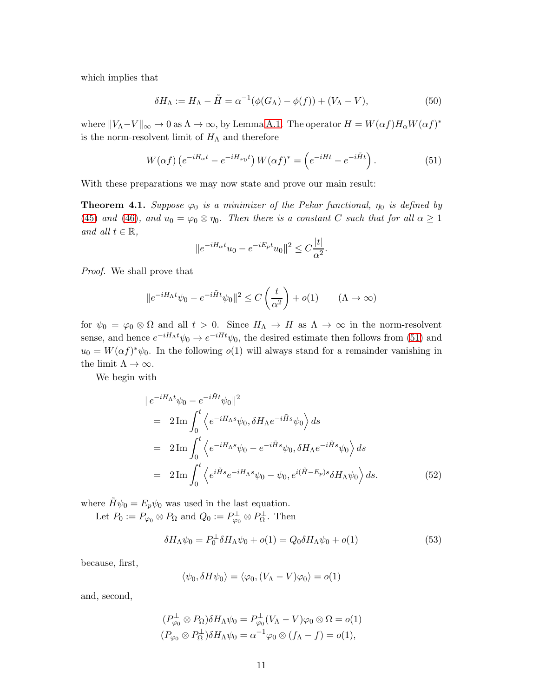which implies that

<span id="page-10-3"></span>
$$
\delta H_{\Lambda} := H_{\Lambda} - \tilde{H} = \alpha^{-1}(\phi(G_{\Lambda}) - \phi(f)) + (V_{\Lambda} - V), \tag{50}
$$

where  $||V_{\Lambda}-V||_{\infty} \to 0$  as  $\Lambda \to \infty$ , by Lemma [A.1.](#page-16-1) The operator  $H = W(\alpha f)H_{\alpha}W(\alpha f)^*$ is the norm-resolvent limit of  $H_{\Lambda}$  and therefore

<span id="page-10-0"></span>
$$
W(\alpha f) \left( e^{-iH_{\alpha}t} - e^{-iH_{\varphi_0}t} \right) W(\alpha f)^* = \left( e^{-iHt} - e^{-i\tilde{H}t} \right). \tag{51}
$$

With these preparations we may now state and prove our main result:

<span id="page-10-4"></span>**Theorem 4.1.** *Suppose*  $\varphi_0$  *is a minimizer of the Pekar functional,*  $\eta_0$  *is defined by* [\(45\)](#page-9-2) and [\(46\)](#page-9-5), and  $u_0 = \varphi_0 \otimes \eta_0$ . Then there is a constant C such that for all  $\alpha \geq 1$ *and all*  $t \in \mathbb{R}$ *,* 

$$
||e^{-iH_{\alpha}t}u_0 - e^{-iE_p t}u_0||^2 \leq C\frac{|t|}{\alpha^2}.
$$

*Proof.* We shall prove that

$$
||e^{-iH_{\Lambda}t}\psi_0 - e^{-i\tilde{H}t}\psi_0||^2 \le C\left(\frac{t}{\alpha^2}\right) + o(1) \qquad (\Lambda \to \infty)
$$

for  $\psi_0 = \varphi_0 \otimes \Omega$  and all  $t > 0$ . Since  $H_\Lambda \to H$  as  $\Lambda \to \infty$  in the norm-resolvent sense, and hence  $e^{-iH_{\Lambda}t}\psi_0 \to e^{-iHt}\psi_0$ , the desired estimate then follows from [\(51\)](#page-10-0) and  $u_0 = W(\alpha f)^* \psi_0$ . In the following  $o(1)$  will always stand for a remainder vanishing in the limit  $\Lambda \to \infty$ .

We begin with

<span id="page-10-1"></span>
$$
\|e^{-iH_{\Lambda}t}\psi_0 - e^{-i\tilde{H}t}\psi_0\|^2
$$
  
=  $2 \text{Im} \int_0^t \left\langle e^{-iH_{\Lambda}s}\psi_0, \delta H_{\Lambda}e^{-i\tilde{H}s}\psi_0 \right\rangle ds$   
=  $2 \text{Im} \int_0^t \left\langle e^{-iH_{\Lambda}s}\psi_0 - e^{-i\tilde{H}s}\psi_0, \delta H_{\Lambda}e^{-i\tilde{H}s}\psi_0 \right\rangle ds$   
=  $2 \text{Im} \int_0^t \left\langle e^{i\tilde{H}s}e^{-iH_{\Lambda}s}\psi_0 - \psi_0, e^{i(\tilde{H}-E_p)s}\delta H_{\Lambda}\psi_0 \right\rangle ds.$  (52)

where  $\tilde{H}\psi_0 = E_p \psi_0$  was used in the last equation.

Let  $P_0 := P_{\varphi_0} \otimes P_{\Omega}$  and  $Q_0 := P_{\varphi_0}^{\perp} \otimes P_{\Omega}^{\perp}$ . Then

<span id="page-10-2"></span>
$$
\delta H_{\Lambda}\psi_0 = P_0^{\perp}\delta H_{\Lambda}\psi_0 + o(1) = Q_0\delta H_{\Lambda}\psi_0 + o(1) \tag{53}
$$

because, first,

$$
\langle \psi_0, \delta H \psi_0 \rangle = \langle \varphi_0, (V_\Lambda - V) \varphi_0 \rangle = o(1)
$$

and, second,

$$
(P_{\varphi_0}^{\perp} \otimes P_{\Omega}) \delta H_{\Lambda} \psi_0 = P_{\varphi_0}^{\perp} (V_{\Lambda} - V) \varphi_0 \otimes \Omega = o(1)
$$
  

$$
(P_{\varphi_0} \otimes P_{\Omega}^{\perp}) \delta H_{\Lambda} \psi_0 = \alpha^{-1} \varphi_0 \otimes (f_{\Lambda} - f) = o(1),
$$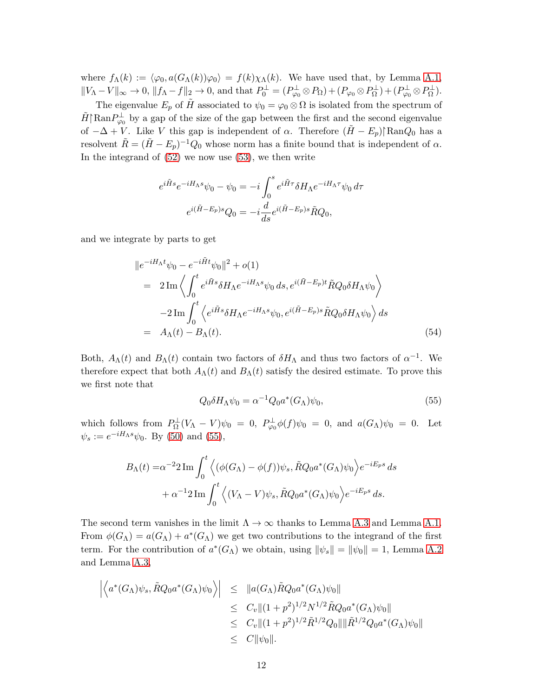where  $f_{\Lambda}(k) := \langle \varphi_0, a(G_{\Lambda}(k))\varphi_0 \rangle = f(k)\chi_{\Lambda}(k)$ . We have used that, by Lemma [A.1,](#page-16-1)  $||V_{\Lambda}-V||_{\infty} \to 0$ ,  $||f_{\Lambda}-f||_2 \to 0$ , and that  $P_0^{\perp} = (P_{\varphi_0}^{\perp} \otimes P_{\Omega}) + (P_{\varphi_0} \otimes P_{\Omega}^{\perp}) + (P_{\varphi_0}^{\perp} \otimes P_{\Omega}^{\perp})$ .

The eigenvalue  $E_p$  of  $\tilde{H}$  associated to  $\psi_0 = \varphi_0 \otimes \Omega$  is isolated from the spectrum of  $\tilde{H} \mid \text{Ran} P_{\varphi_0}^{\perp}$  by a gap of the size of the gap between the first and the second eigenvalue of  $-\Delta + V$ . Like V this gap is independent of  $\alpha$ . Therefore  $(\tilde{H} - E_p)$ <sup>[</sup>Ran $Q_0$  has a resolvent  $\tilde{R} = (\tilde{H} - E_p)^{-1} Q_0$  whose norm has a finite bound that is independent of  $\alpha$ . In the integrand of [\(52\)](#page-10-1) we now use [\(53\)](#page-10-2), we then write

$$
e^{i\tilde{H}s}e^{-iH_{\Lambda}s}\psi_0 - \psi_0 = -i\int_0^s e^{i\tilde{H}\tau} \delta H_{\Lambda} e^{-iH_{\Lambda}\tau}\psi_0 d\tau
$$

$$
e^{i(\tilde{H}-E_p)s}Q_0 = -i\frac{d}{ds}e^{i(\tilde{H}-E_p)s}\tilde{R}Q_0,
$$

and we integrate by parts to get

$$
\|e^{-iH_{\Lambda}t}\psi_0 - e^{-i\tilde{H}t}\psi_0\|^2 + o(1)
$$
  
=  $2\operatorname{Im}\left\langle \int_0^t e^{i\tilde{H}s} \delta H_{\Lambda} e^{-iH_{\Lambda}s}\psi_0 ds, e^{i(\tilde{H}-E_p)t} \tilde{R}Q_0 \delta H_{\Lambda}\psi_0 \right\rangle$   
-  $2\operatorname{Im}\int_0^t \left\langle e^{i\tilde{H}s} \delta H_{\Lambda} e^{-iH_{\Lambda}s}\psi_0, e^{i(\tilde{H}-E_p)s} \tilde{R}Q_0 \delta H_{\Lambda}\psi_0 \right\rangle ds$   
=  $A_{\Lambda}(t) - B_{\Lambda}(t).$  (54)

Both,  $A_{\Lambda}(t)$  and  $B_{\Lambda}(t)$  contain two factors of  $\delta H_{\Lambda}$  and thus two factors of  $\alpha^{-1}$ . We therefore expect that both  $A_{\Lambda}(t)$  and  $B_{\Lambda}(t)$  satisfy the desired estimate. To prove this we first note that

<span id="page-11-0"></span>
$$
Q_0 \delta H_\Lambda \psi_0 = \alpha^{-1} Q_0 a^*(G_\Lambda) \psi_0,\tag{55}
$$

which follows from  $P_{\Omega}^{\perp}(V_{\Lambda}-V)\psi_0 = 0$ ,  $P_{\varphi_0}^{\perp}\phi(f)\psi_0 = 0$ , and  $a(G_{\Lambda})\psi_0 = 0$ . Let  $\psi_s := e^{-iH_\Lambda s}\psi_0$ . By [\(50\)](#page-10-3) and [\(55\)](#page-11-0),

$$
B_{\Lambda}(t) = \alpha^{-2} 2 \operatorname{Im} \int_0^t \left\langle (\phi(G_{\Lambda}) - \phi(f)) \psi_s, \tilde{R} Q_0 a^*(G_{\Lambda}) \psi_0 \right\rangle e^{-iE_p s} ds + \alpha^{-1} 2 \operatorname{Im} \int_0^t \left\langle (V_{\Lambda} - V) \psi_s, \tilde{R} Q_0 a^*(G_{\Lambda}) \psi_0 \right\rangle e^{-iE_p s} ds.
$$

The second term vanishes in the limit  $\Lambda \to \infty$  thanks to Lemma [A.3](#page-16-2) and Lemma [A.1.](#page-16-1) From  $\phi(G_\Lambda) = a(G_\Lambda) + a^*(G_\Lambda)$  we get two contributions to the integrand of the first term. For the contribution of  $a^*(G_\Lambda)$  we obtain, using  $\|\psi_s\| = \|\psi_0\| = 1$ , Lemma [A.2](#page-16-0) and Lemma [A.3,](#page-16-2)

$$
\left| \left\langle a^*(G_{\Lambda})\psi_s, \tilde{R}Q_0 a^*(G_{\Lambda})\psi_0 \right\rangle \right| \leq ||a(G_{\Lambda})\tilde{R}Q_0 a^*(G_{\Lambda})\psi_0||
$$
  
\n
$$
\leq C_v ||(1+p^2)^{1/2} N^{1/2} \tilde{R}Q_0 a^*(G_{\Lambda})\psi_0||
$$
  
\n
$$
\leq C_v ||(1+p^2)^{1/2} \tilde{R}^{1/2} Q_0|| ||\tilde{R}^{1/2} Q_0 a^*(G_{\Lambda})\psi_0||
$$
  
\n
$$
\leq C ||\psi_0||.
$$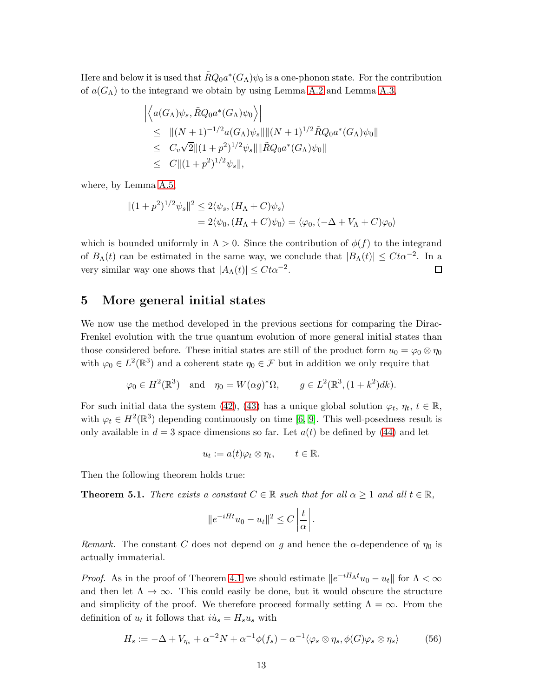Here and below it is used that  $\tilde{R}Q_0a^*(G_\Lambda)\psi_0$  is a one-phonon state. For the contribution of  $a(G_\Lambda)$  to the integrand we obtain by using Lemma [A.2](#page-16-0) and Lemma [A.3,](#page-16-2)

$$
\left| \left\langle a(G_{\Lambda})\psi_s, \tilde{R}Q_0 a^*(G_{\Lambda})\psi_0 \right\rangle \right|
$$
  
\n
$$
\leq ||(N+1)^{-1/2} a(G_{\Lambda})\psi_s|| ||(N+1)^{1/2} \tilde{R}Q_0 a^*(G_{\Lambda})\psi_0||
$$
  
\n
$$
\leq C_v \sqrt{2} ||(1+p^2)^{1/2} \psi_s|| ||\tilde{R}Q_0 a^*(G_{\Lambda})\psi_0||
$$
  
\n
$$
\leq C ||(1+p^2)^{1/2} \psi_s||,
$$

where, by Lemma [A.5,](#page-17-1)

$$
||(1+p^2)^{1/2}\psi_s||^2 \le 2\langle \psi_s, (H_\Lambda + C)\psi_s \rangle
$$
  
= 2\langle \psi\_0, (H\_\Lambda + C)\psi\_0 \rangle = \langle \varphi\_0, (-\Delta + V\_\Lambda + C)\varphi\_0 \rangle

which is bounded uniformly in  $\Lambda > 0$ . Since the contribution of  $\phi(f)$  to the integrand of  $B_\Lambda(t)$  can be estimated in the same way, we conclude that  $|B_\Lambda(t)| \leq C t \alpha^{-2}$ . In a very similar way one shows that  $|A_{\Lambda}(t)| \leq C t \alpha^{-2}$ .  $\Box$ 

#### <span id="page-12-0"></span>5 More general initial states

We now use the method developed in the previous sections for comparing the Dirac-Frenkel evolution with the true quantum evolution of more general initial states than those considered before. These initial states are still of the product form  $u_0 = \varphi_0 \otimes \eta_0$ with  $\varphi_0 \in L^2(\mathbb{R}^3)$  and a coherent state  $\eta_0 \in \mathcal{F}$  but in addition we only require that

$$
\varphi_0 \in H^2(\mathbb{R}^3)
$$
 and  $\eta_0 = W(\alpha g)^*\Omega$ ,  $g \in L^2(\mathbb{R}^3, (1+k^2)dk)$ .

For such initial data the system [\(42\)](#page-9-0), [\(43\)](#page-9-1) has a unique global solution  $\varphi_t$ ,  $\eta_t$ ,  $t \in \mathbb{R}$ , with  $\varphi_t \in H^2(\mathbb{R}^3)$  depending continuously on time [\[6,](#page-19-5) [9\]](#page-19-6). This well-posedness result is only available in  $d = 3$  space dimensions so far. Let  $a(t)$  be defined by [\(44\)](#page-9-6) and let

$$
u_t := a(t)\varphi_t \otimes \eta_t, \qquad t \in \mathbb{R}.
$$

Then the following theorem holds true:

**Theorem 5.1.** *There exists a constant*  $C \in \mathbb{R}$  *such that for all*  $\alpha \geq 1$  *and all*  $t \in \mathbb{R}$ *,* 

$$
\|e^{-iHt}u_0 - u_t\|^2 \leq C\left|\frac{t}{\alpha}\right|
$$

*Remark.* The constant C does not depend on g and hence the  $\alpha$ -dependence of  $\eta_0$  is actually immaterial.

*Proof.* As in the proof of Theorem [4.1](#page-10-4) we should estimate  $||e^{-iH_\Lambda t}u_0 - u_t||$  for  $\Lambda < \infty$ and then let  $\Lambda \to \infty$ . This could easily be done, but it would obscure the structure and simplicity of the proof. We therefore proceed formally setting  $\Lambda = \infty$ . From the definition of  $u_t$  it follows that  $ii_s = H_s u_s$  with

<span id="page-12-1"></span>
$$
H_s := -\Delta + V_{\eta_s} + \alpha^{-2} N + \alpha^{-1} \phi(f_s) - \alpha^{-1} \langle \varphi_s \otimes \eta_s, \phi(G) \varphi_s \otimes \eta_s \rangle \tag{56}
$$

.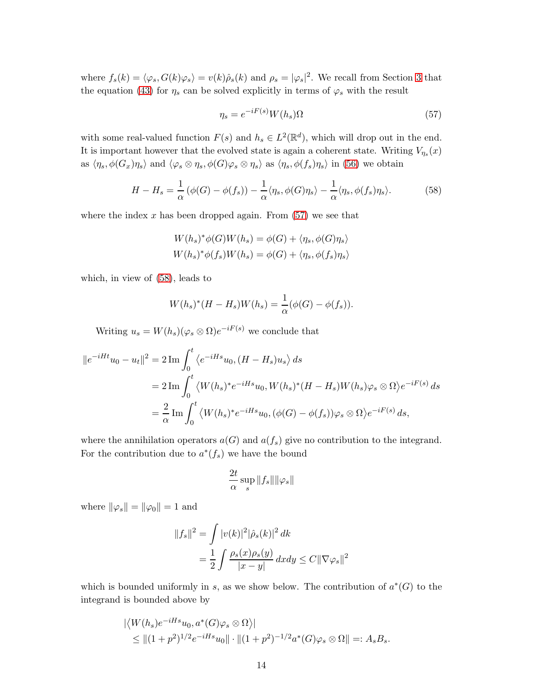where  $f_s(k) = \langle \varphi_s, G(k)\varphi_s \rangle = v(k)\hat{\rho}_s(k)$  and  $\rho_s = |\varphi_s|^2$ . We recall from Section [3](#page-5-0) that the equation [\(43\)](#page-9-1) for  $\eta_s$  can be solved explicitly in terms of  $\varphi_s$  with the result

<span id="page-13-0"></span>
$$
\eta_s = e^{-iF(s)} W(h_s) \Omega \tag{57}
$$

with some real-valued function  $F(s)$  and  $h_s \in L^2(\mathbb{R}^d)$ , which will drop out in the end. It is important however that the evolved state is again a coherent state. Writing  $V_{\eta_s}(x)$ as  $\langle \eta_s, \phi(G_x)\eta_s \rangle$  and  $\langle \varphi_s \otimes \eta_s, \phi(G)\varphi_s \otimes \eta_s \rangle$  as  $\langle \eta_s, \phi(f_s)\eta_s \rangle$  in [\(56\)](#page-12-1) we obtain

<span id="page-13-1"></span>
$$
H - H_s = \frac{1}{\alpha} \left( \phi(G) - \phi(f_s) \right) - \frac{1}{\alpha} \langle \eta_s, \phi(G)\eta_s \rangle - \frac{1}{\alpha} \langle \eta_s, \phi(f_s)\eta_s \rangle. \tag{58}
$$

where the index  $x$  has been dropped again. From  $(57)$  we see that

$$
W(h_s)^*\phi(G)W(h_s) = \phi(G) + \langle \eta_s, \phi(G)\eta_s \rangle
$$
  

$$
W(h_s)^*\phi(f_s)W(h_s) = \phi(G) + \langle \eta_s, \phi(f_s)\eta_s \rangle
$$

which, in view of [\(58\)](#page-13-1), leads to

$$
W(h_s)^{*}(H - H_s)W(h_s) = \frac{1}{\alpha}(\phi(G) - \phi(f_s)).
$$

Writing  $u_s = W(h_s)(\varphi_s \otimes \Omega)e^{-iF(s)}$  we conclude that

$$
||e^{-iHt}u_0 - u_t||^2 = 2 \operatorname{Im} \int_0^t \langle e^{-iHs}u_0, (H - H_s)u_s \rangle ds
$$
  
=  $2 \operatorname{Im} \int_0^t \langle W(h_s)^* e^{-iHs}u_0, W(h_s)^* (H - H_s)W(h_s)\varphi_s \otimes \Omega \rangle e^{-iF(s)} ds$   
=  $\frac{2}{\alpha} \operatorname{Im} \int_0^t \langle W(h_s)^* e^{-iHs}u_0, (\phi(G) - \phi(f_s))\varphi_s \otimes \Omega \rangle e^{-iF(s)} ds,$ 

where the annihilation operators  $a(G)$  and  $a(f_s)$  give no contribution to the integrand. For the contribution due to  $a^*(f_s)$  we have the bound

$$
\frac{2t}{\alpha}\sup_s\|f_s\|\|\varphi_s\|
$$

where  $\|\varphi_s\| = \|\varphi_0\| = 1$  and

$$
||f_s||^2 = \int |v(k)|^2 |\hat{\rho}_s(k)|^2 dk
$$
  
= 
$$
\frac{1}{2} \int \frac{\rho_s(x)\rho_s(y)}{|x-y|} dxdy \leq C ||\nabla \varphi_s||^2
$$

which is bounded uniformly in s, as we show below. The contribution of  $a^*(G)$  to the integrand is bounded above by

$$
\begin{aligned} & |\langle W(h_s)e^{-iHs}u_0, a^*(G)\varphi_s \otimes \Omega \rangle| \\ &\leq \|(1+p^2)^{1/2}e^{-iHs}u_0\| \cdot \|(1+p^2)^{-1/2}a^*(G)\varphi_s \otimes \Omega\| =: A_s B_s. \end{aligned}
$$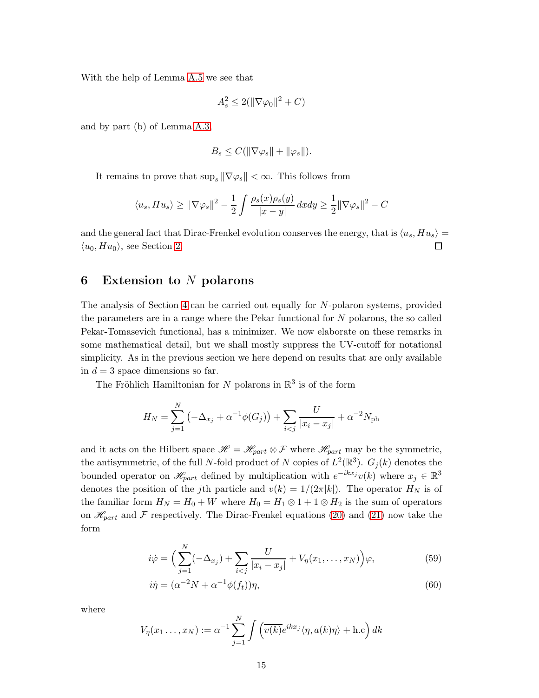With the help of Lemma [A.5](#page-17-1) we see that

$$
A_s^2 \le 2(\|\nabla \varphi_0\|^2 + C)
$$

and by part (b) of Lemma [A.3,](#page-16-2)

$$
B_s \leq C(||\nabla \varphi_s|| + ||\varphi_s||).
$$

It remains to prove that  $\sup_s \|\nabla \varphi_s\| < \infty$ . This follows from

$$
\langle u_s, H u_s \rangle \ge ||\nabla \varphi_s||^2 - \frac{1}{2} \int \frac{\rho_s(x)\rho_s(y)}{|x - y|} dx dy \ge \frac{1}{2} ||\nabla \varphi_s||^2 - C
$$

and the general fact that Dirac-Frenkel evolution conserves the energy, that is  $\langle u_s, H u_s \rangle =$  $\langle u_0, H u_0 \rangle$ , see Section [2.](#page-2-1)  $\Box$ 

#### <span id="page-14-0"></span>6 Extension to  $N$  polarons

The analysis of Section [4](#page-8-0) can be carried out equally for N-polaron systems, provided the parameters are in a range where the Pekar functional for N polarons, the so called Pekar-Tomasevich functional, has a minimizer. We now elaborate on these remarks in some mathematical detail, but we shall mostly suppress the UV-cutoff for notational simplicity. As in the previous section we here depend on results that are only available in  $d = 3$  space dimensions so far.

The Fröhlich Hamiltonian for N polarons in  $\mathbb{R}^3$  is of the form

$$
H_N = \sum_{j=1}^{N} \left( -\Delta_{x_j} + \alpha^{-1} \phi(G_j) \right) + \sum_{i < j} \frac{U}{|x_i - x_j|} + \alpha^{-2} N_{\text{ph}}
$$

and it acts on the Hilbert space  $\mathscr{H} = \mathscr{H}_{part} \otimes \mathscr{F}$  where  $\mathscr{H}_{part}$  may be the symmetric, the antisymmetric, of the full N-fold product of N copies of  $L^2(\mathbb{R}^3)$ .  $G_j(k)$  denotes the bounded operator on  $\mathscr{H}_{part}$  defined by multiplication with  $e^{-ikx_j}v(k)$  where  $x_j \in \mathbb{R}^3$ denotes the position of the j<sup>th</sup> particle and  $v(k) = 1/(2\pi|k|)$ . The operator  $H_N$  is of the familiar form  $H_N = H_0 + W$  where  $H_0 = H_1 \otimes 1 + 1 \otimes H_2$  is the sum of operators on  $\mathcal{H}_{part}$  and F respectively. The Dirac-Frenkel equations [\(20\)](#page-5-1) and [\(21\)](#page-5-4) now take the form

<span id="page-14-1"></span>
$$
i\dot{\varphi} = \left(\sum_{j=1}^{N} (-\Delta_{x_j}) + \sum_{i < j} \frac{U}{|x_i - x_j|} + V_\eta(x_1, \dots, x_N)\right) \varphi,\tag{59}
$$

<span id="page-14-2"></span>
$$
i\dot{\eta} = (\alpha^{-2}N + \alpha^{-1}\phi(f_t))\eta,
$$
\n(60)

where

$$
V_{\eta}(x_1 \ldots, x_N) := \alpha^{-1} \sum_{j=1}^N \int \left( \overline{v(k)} e^{ikx_j} \langle \eta, a(k) \eta \rangle + \text{h.c} \right) dk
$$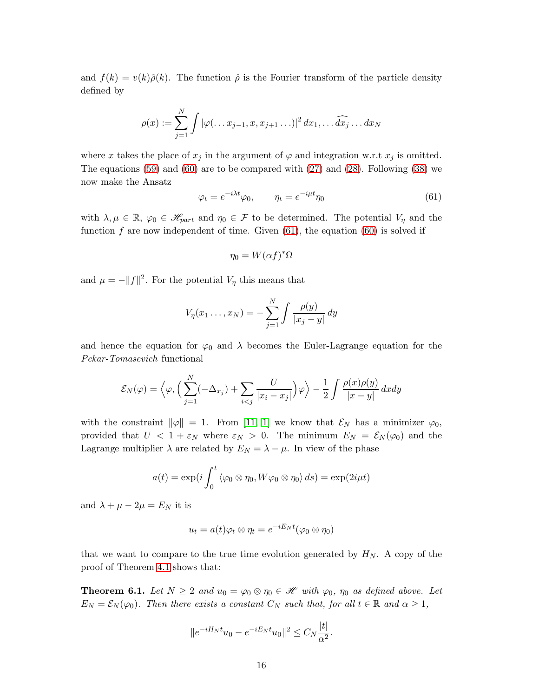and  $f(k) = v(k)\hat{\rho}(k)$ . The function  $\hat{\rho}$  is the Fourier transform of the particle density defined by

$$
\rho(x) := \sum_{j=1}^N \int |\varphi(\ldots x_{j-1}, x, x_{j+1} \ldots)|^2 dx_1, \ldots \widehat{dx_j} \ldots dx_N
$$

where x takes the place of  $x_j$  in the argument of  $\varphi$  and integration w.r.t  $x_j$  is omitted. The equations [\(59\)](#page-14-1) and [\(60\)](#page-14-2) are to be compared with [\(27\)](#page-6-2) and [\(28\)](#page-6-3). Following [\(38\)](#page-8-2) we now make the Ansatz

<span id="page-15-0"></span>
$$
\varphi_t = e^{-i\lambda t} \varphi_0, \qquad \eta_t = e^{-i\mu t} \eta_0 \tag{61}
$$

with  $\lambda, \mu \in \mathbb{R}$ ,  $\varphi_0 \in \mathscr{H}_{part}$  and  $\eta_0 \in \mathcal{F}$  to be determined. The potential  $V_\eta$  and the function f are now independent of time. Given  $(61)$ , the equation  $(60)$  is solved if

$$
\eta_0 = W(\alpha f)^*\Omega
$$

and  $\mu = -||f||^2$ . For the potential  $V_{\eta}$  this means that

$$
V_{\eta}(x_1 \ldots, x_N) = -\sum_{j=1}^N \int \frac{\rho(y)}{|x_j - y|} \, dy
$$

and hence the equation for  $\varphi_0$  and  $\lambda$  becomes the Euler-Lagrange equation for the *Pekar-Tomasevich* functional

$$
\mathcal{E}_N(\varphi) = \left\langle \varphi, \Big( \sum_{j=1}^N (-\Delta_{x_j}) + \sum_{i < j} \frac{U}{|x_i - x_j|} \Big) \varphi \right\rangle - \frac{1}{2} \int \frac{\rho(x)\rho(y)}{|x - y|} dx dy
$$

with the constraint  $\|\varphi\| = 1$ . From [\[11,](#page-19-15) [1\]](#page-19-14) we know that  $\mathcal{E}_N$  has a minimizer  $\varphi_0$ , provided that  $U < 1 + \varepsilon_N$  where  $\varepsilon_N > 0$ . The minimum  $E_N = \mathcal{E}_N(\varphi_0)$  and the Lagrange multiplier  $\lambda$  are related by  $E_N = \lambda - \mu$ . In view of the phase

$$
a(t) = \exp(i \int_0^t \langle \varphi_0 \otimes \eta_0, W \varphi_0 \otimes \eta_0 \rangle ds) = \exp(2i\mu t)
$$

and  $\lambda + \mu - 2\mu = E_N$  it is

$$
u_t = a(t)\varphi_t \otimes \eta_t = e^{-iE_Nt}(\varphi_0 \otimes \eta_0)
$$

that we want to compare to the true time evolution generated by  $H_N$ . A copy of the proof of Theorem [4.1](#page-10-4) shows that:

**Theorem 6.1.** Let  $N \geq 2$  and  $u_0 = \varphi_0 \otimes \eta_0 \in \mathcal{H}$  with  $\varphi_0$ ,  $\eta_0$  as defined above. Let  $E_N = \mathcal{E}_N(\varphi_0)$ *. Then there exists a constant*  $C_N$  *such that, for all*  $t \in \mathbb{R}$  *and*  $\alpha \geq 1$ *,* 

$$
||e^{-iH_Nt}u_0 - e^{-iE_Nt}u_0||^2 \leq C_N \frac{|t|}{\alpha^2}.
$$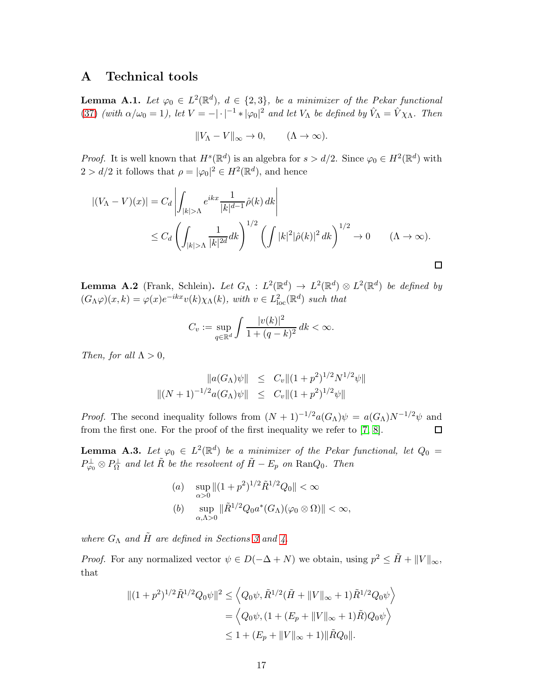### A Technical tools

<span id="page-16-1"></span>**Lemma A.1.** Let  $\varphi_0 \in L^2(\mathbb{R}^d)$ ,  $d \in \{2,3\}$ , be a minimizer of the Pekar functional [\(37\)](#page-8-1) *(with*  $\alpha/\omega_0 = 1$ *), let*  $V = -|\cdot|^{-1} * |\varphi_0|^2$  *and let*  $V_\Lambda$  *be defined by*  $\hat{V}_\Lambda = \hat{V} \chi_\Lambda$ *. Then* 

$$
||V_{\Lambda} - V||_{\infty} \to 0, \qquad (\Lambda \to \infty).
$$

*Proof.* It is well known that  $H^s(\mathbb{R}^d)$  is an algebra for  $s > d/2$ . Since  $\varphi_0 \in H^2(\mathbb{R}^d)$  with  $2 > d/2$  it follows that  $\rho = |\varphi_0|^2 \in H^2(\mathbb{R}^d)$ , and hence

$$
\begin{aligned} \left| (V_{\Lambda} - V)(x) \right| &= C_d \left| \int_{|k| > \Lambda} e^{ikx} \frac{1}{|k|^{d-1}} \hat{\rho}(k) \, dk \right| \\ &\le C_d \left( \int_{|k| > \Lambda} \frac{1}{|k|^{2d}} dk \right)^{1/2} \left( \int |k|^2 |\hat{\rho}(k)|^2 \, dk \right)^{1/2} \to 0 \qquad (\Lambda \to \infty). \end{aligned}
$$

<span id="page-16-0"></span>**Lemma A.2** (Frank, Schlein). Let  $G_{\Lambda}: L^2(\mathbb{R}^d) \to L^2(\mathbb{R}^d) \otimes L^2(\mathbb{R}^d)$  be defined by  $(G_{\Lambda}\varphi)(x,k) = \varphi(x)e^{-ikx}v(k)\chi_{\Lambda}(k)$ , with  $v \in L^2_{\text{loc}}(\mathbb{R}^d)$  such that

$$
C_v := \sup_{q \in \mathbb{R}^d} \int \frac{|v(k)|^2}{1 + (q - k)^2} \, dk < \infty.
$$

*Then, for all*  $\Lambda > 0$ *,* 

$$
||a(G_{\Lambda})\psi|| \leq C_v ||(1+p^2)^{1/2} N^{1/2}\psi||
$$
  

$$
||(N+1)^{-1/2} a(G_{\Lambda})\psi|| \leq C_v ||(1+p^2)^{1/2}\psi||
$$

*Proof.* The second inequality follows from  $(N + 1)^{-1/2}a(G_{\Lambda})\psi = a(G_{\Lambda})N^{-1/2}\psi$  and from the first one. For the proof of the first inequality we refer to [\[7,](#page-19-7) [8\]](#page-19-9).  $\Box$ 

<span id="page-16-2"></span>**Lemma A.3.** Let  $\varphi_0 \in L^2(\mathbb{R}^d)$  be a minimizer of the Pekar functional, let  $Q_0 =$  $P_{\varphi_0}^{\perp} \otimes P_{\Omega}^{\perp}$  and let  $\tilde{R}$  be the resolvent of  $\tilde{H} - E_p$  on  $\text{Ran}Q_0$ . Then

(a) 
$$
\sup_{\alpha>0} \|(1+p^2)^{1/2}\tilde{R}^{1/2}Q_0\| < \infty
$$
  
(b) 
$$
\sup_{\alpha,\Lambda>0} \|\tilde{R}^{1/2}Q_0a^*(G_{\Lambda})(\varphi_0\otimes\Omega)\| < \infty,
$$

*where*  $G_{\Lambda}$  *and*  $\tilde{H}$  *are defined in Sections* [3](#page-5-0) *and* [4.](#page-8-0)

*Proof.* For any normalized vector  $\psi \in D(-\Delta + N)$  we obtain, using  $p^2 \leq \tilde{H} + ||V||_{\infty}$ , that

$$
||(1 + p^2)^{1/2} \tilde{R}^{1/2} Q_0 \psi||^2 \le \left\langle Q_0 \psi, \tilde{R}^{1/2} (\tilde{H} + ||V||_{\infty} + 1) \tilde{R}^{1/2} Q_0 \psi \right\rangle
$$
  
=  $\left\langle Q_0 \psi, (1 + (E_p + ||V||_{\infty} + 1) \tilde{R}) Q_0 \psi \right\rangle$   
 $\le 1 + (E_p + ||V||_{\infty} + 1) ||\tilde{R} Q_0||.$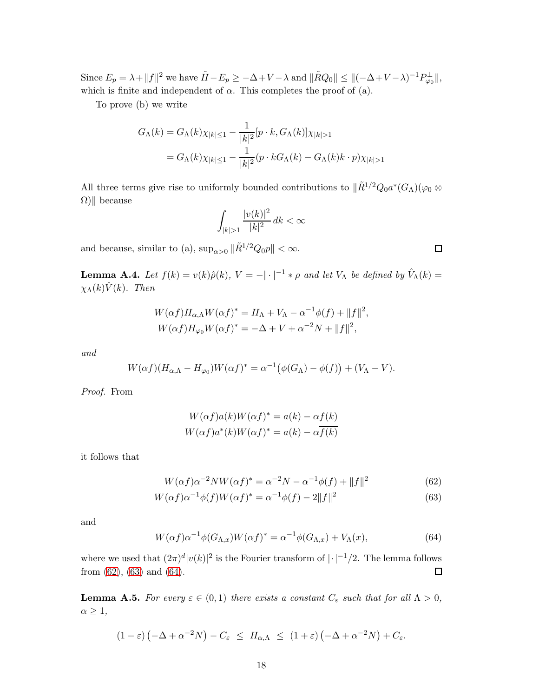Since  $E_p = \lambda + ||f||^2$  we have  $\tilde{H} - E_p \ge -\Delta + V - \lambda$  and  $\|\tilde{R}Q_0\| \le \|(-\Delta + V - \lambda)^{-1}P_{\varphi_0}^{\perp}\|$ , which is finite and independent of  $\alpha$ . This completes the proof of (a).

To prove (b) we write

$$
G_{\Lambda}(k) = G_{\Lambda}(k)\chi_{|k| \le 1} - \frac{1}{|k|^2} [p \cdot k, G_{\Lambda}(k)]\chi_{|k| > 1}
$$
  
=  $G_{\Lambda}(k)\chi_{|k| \le 1} - \frac{1}{|k|^2} (p \cdot kG_{\Lambda}(k) - G_{\Lambda}(k)k \cdot p)\chi_{|k| > 1}$ 

All three terms give rise to uniformly bounded contributions to  $\|\tilde{R}^{1/2}Q_0a^*(G_{\Lambda})(\varphi_0\otimes$  $\Omega$ || because

$$
\int_{|k|>1} \frac{|v(k)|^2}{|k|^2} \, dk < \infty
$$

and because, similar to (a),  $\sup_{\alpha>0} \|\tilde{R}^{1/2}Q_0p\| < \infty$ .

<span id="page-17-0"></span>**Lemma A.4.** Let  $f(k) = v(k)\hat{\rho}(k)$ ,  $V = -|\cdot|^{-1} * \rho$  and let  $V_{\Lambda}$  be defined by  $\hat{V}_{\Lambda}(k) =$  $\chi_{\Lambda}(k)\hat{V}(k)$ *. Then* 

$$
W(\alpha f)H_{\alpha,\Lambda}W(\alpha f)^{*} = H_{\Lambda} + V_{\Lambda} - \alpha^{-1}\phi(f) + ||f||^{2},
$$
  

$$
W(\alpha f)H_{\varphi_{0}}W(\alpha f)^{*} = -\Delta + V + \alpha^{-2}N + ||f||^{2},
$$

*and*

$$
W(\alpha f)(H_{\alpha,\Lambda}-H_{\varphi_0})W(\alpha f)^*=\alpha^{-1}(\phi(G_{\Lambda})-\phi(f))+(V_{\Lambda}-V).
$$

*Proof.* From

$$
W(\alpha f)a(k)W(\alpha f)^* = a(k) - \alpha f(k)
$$
  

$$
W(\alpha f)a^*(k)W(\alpha f)^* = a(k) - \alpha \overline{f(k)}
$$

it follows that

$$
W(\alpha f)\alpha^{-2}NW(\alpha f)^{*} = \alpha^{-2}N - \alpha^{-1}\phi(f) + ||f||^{2}
$$
\n(62)

$$
W(\alpha f)\alpha^{-1}\phi(f)W(\alpha f)^{*} = \alpha^{-1}\phi(f) - 2||f||^{2}
$$
\n(63)

and

<span id="page-17-4"></span>
$$
W(\alpha f)\alpha^{-1}\phi(G_{\Lambda,x})W(\alpha f)^* = \alpha^{-1}\phi(G_{\Lambda,x}) + V_{\Lambda}(x),\tag{64}
$$

where we used that  $(2\pi)^d |v(k)|^2$  is the Fourier transform of  $|\cdot|^{-1}/2$ . The lemma follows from [\(62\)](#page-17-2), [\(63\)](#page-17-3) and [\(64\)](#page-17-4).

<span id="page-17-1"></span>**Lemma A.5.** *For every*  $\varepsilon \in (0,1)$  *there exists a constant*  $C_{\varepsilon}$  *such that for all*  $\Lambda > 0$ *,*  $\alpha \geq 1$ ,

$$
(1 - \varepsilon) \left(-\Delta + \alpha^{-2}N\right) - C_{\varepsilon} \leq H_{\alpha,\Lambda} \leq (1 + \varepsilon) \left(-\Delta + \alpha^{-2}N\right) + C_{\varepsilon}.
$$

<span id="page-17-3"></span><span id="page-17-2"></span> $\Box$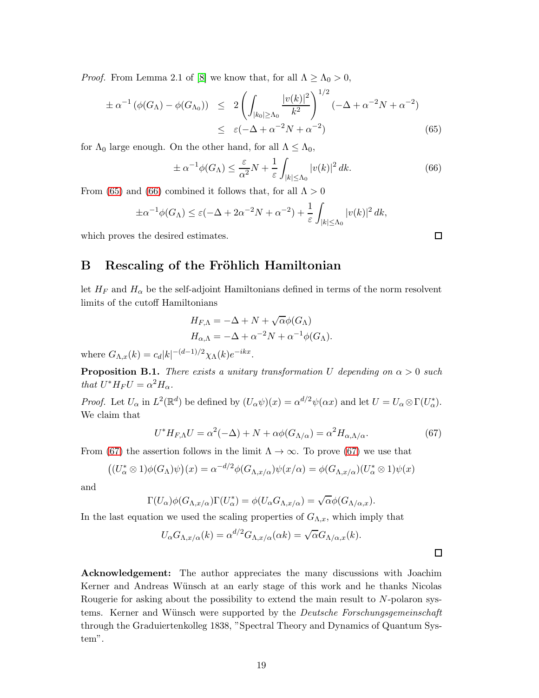*Proof.* From Lemma 2.1 of [\[8\]](#page-19-9) we know that, for all  $\Lambda \geq \Lambda_0 > 0$ ,

<span id="page-18-1"></span>
$$
\pm \alpha^{-1} (\phi(G_{\Lambda}) - \phi(G_{\Lambda_0})) \leq 2 \left( \int_{|k_0| \geq \Lambda_0} \frac{|v(k)|^2}{k^2} \right)^{1/2} (-\Delta + \alpha^{-2} N + \alpha^{-2})
$$
  

$$
\leq \varepsilon (-\Delta + \alpha^{-2} N + \alpha^{-2})
$$
(65)

for  $\Lambda_0$  large enough. On the other hand, for all  $\Lambda \leq \Lambda_0$ ,

<span id="page-18-2"></span>
$$
\pm \alpha^{-1} \phi(G_{\Lambda}) \le \frac{\varepsilon}{\alpha^2} N + \frac{1}{\varepsilon} \int_{|k| \le \Lambda_0} |v(k)|^2 dk. \tag{66}
$$

From [\(65\)](#page-18-1) and [\(66\)](#page-18-2) combined it follows that, for all  $\Lambda > 0$ 

$$
\pm \alpha^{-1} \phi(G_{\Lambda}) \le \varepsilon (-\Delta + 2\alpha^{-2}N + \alpha^{-2}) + \frac{1}{\varepsilon} \int_{|k| \le \Lambda_0} |v(k)|^2 dk,
$$

which proves the desired estimates.

# B Rescaling of the Fröhlich Hamiltonian

let  $H_F$  and  $H_\alpha$  be the self-adjoint Hamiltonians defined in terms of the norm resolvent limits of the cutoff Hamiltonians

$$
H_{F,\Lambda} = -\Delta + N + \sqrt{\alpha} \phi(G_{\Lambda})
$$
  

$$
H_{\alpha,\Lambda} = -\Delta + \alpha^{-2} N + \alpha^{-1} \phi(G_{\Lambda}).
$$

where  $G_{\Lambda,x}(k) = c_d |k|^{-(d-1)/2} \chi_{\Lambda}(k) e^{-ikx}$ .

<span id="page-18-0"></span>**Proposition B.1.** *There exists a unitary transformation* U depending on  $\alpha > 0$  such *that*  $U^* H_F U = \alpha^2 H_\alpha$ *.* 

*Proof.* Let  $U_{\alpha}$  in  $L^2(\mathbb{R}^d)$  be defined by  $(U_{\alpha}\psi)(x) = \alpha^{d/2}\psi(\alpha x)$  and let  $U = U_{\alpha} \otimes \Gamma(U_{\alpha}^*)$ . We claim that

<span id="page-18-3"></span>
$$
U^* H_{F,\Lambda} U = \alpha^2(-\Delta) + N + \alpha \phi(G_{\Lambda/\alpha}) = \alpha^2 H_{\alpha,\Lambda/\alpha}.
$$
 (67)

From [\(67\)](#page-18-3) the assertion follows in the limit  $\Lambda \to \infty$ . To prove (67) we use that

$$
((U_{\alpha}^* \otimes 1)\phi(G_{\Lambda})\psi)(x) = \alpha^{-d/2}\phi(G_{\Lambda,x/\alpha})\psi(x/\alpha) = \phi(G_{\Lambda,x/\alpha})(U_{\alpha}^* \otimes 1)\psi(x)
$$

and

$$
\Gamma(U_{\alpha})\phi(G_{\Lambda,x/\alpha})\Gamma(U_{\alpha}^*)=\phi(U_{\alpha}G_{\Lambda,x/\alpha})=\sqrt{\alpha}\phi(G_{\Lambda/\alpha,x}).
$$

In the last equation we used the scaling properties of  $G_{\Lambda,x}$ , which imply that

$$
U_{\alpha}G_{\Lambda,x/\alpha}(k) = \alpha^{d/2}G_{\Lambda,x/\alpha}(\alpha k) = \sqrt{\alpha}G_{\Lambda/\alpha,x}(k).
$$

Acknowledgement: The author appreciates the many discussions with Joachim Kerner and Andreas Wünsch at an early stage of this work and he thanks Nicolas Rougerie for asking about the possibility to extend the main result to N-polaron systems. Kerner and Wünsch were supported by the *Deutsche Forschungsgemeinschaft* through the Graduiertenkolleg 1838, "Spectral Theory and Dynamics of Quantum System".

 $\Box$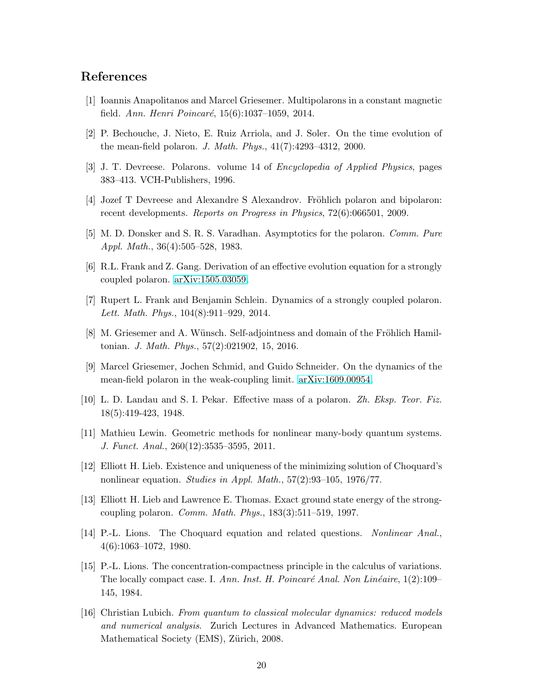# <span id="page-19-14"></span>References

- <span id="page-19-4"></span>[1] Ioannis Anapolitanos and Marcel Griesemer. Multipolarons in a constant magnetic field. *Ann. Henri Poincaré*, 15(6):1037–1059, 2014.
- <span id="page-19-10"></span>[2] P. Bechouche, J. Nieto, E. Ruiz Arriola, and J. Soler. On the time evolution of the mean-field polaron. *J. Math. Phys.*, 41(7):4293–4312, 2000.
- <span id="page-19-3"></span>[3] J. T. Devreese. Polarons. volume 14 of *Encyclopedia of Applied Physics*, pages 383–413. VCH-Publishers, 1996.
- <span id="page-19-0"></span>[4] Jozef T Devreese and Alexandre S Alexandrov. Fröhlich polaron and bipolaron: recent developments. *Reports on Progress in Physics*, 72(6):066501, 2009.
- <span id="page-19-5"></span>[5] M. D. Donsker and S. R. S. Varadhan. Asymptotics for the polaron. *Comm. Pure Appl. Math.*, 36(4):505–528, 1983.
- <span id="page-19-7"></span>[6] R.L. Frank and Z. Gang. Derivation of an effective evolution equation for a strongly coupled polaron. [arXiv:1505.03059.](http://arxiv.org/abs/1505.03059)
- <span id="page-19-9"></span>[7] Rupert L. Frank and Benjamin Schlein. Dynamics of a strongly coupled polaron. *Lett. Math. Phys.*, 104(8):911–929, 2014.
- <span id="page-19-6"></span>[8] M. Griesemer and A. Wünsch. Self-adjointness and domain of the Fröhlich Hamiltonian. *J. Math. Phys.*, 57(2):021902, 15, 2016.
- <span id="page-19-2"></span>[9] Marcel Griesemer, Jochen Schmid, and Guido Schneider. On the dynamics of the mean-field polaron in the weak-coupling limit. [arXiv:1609.00954.](http://arxiv.org/abs/1609.00954)
- <span id="page-19-15"></span>[10] L. D. Landau and S. I. Pekar. Effective mass of a polaron. *Zh. Eksp. Teor. Fiz.* 18(5):419-423, 1948.
- <span id="page-19-11"></span>[11] Mathieu Lewin. Geometric methods for nonlinear many-body quantum systems. *J. Funct. Anal.*, 260(12):3535–3595, 2011.
- <span id="page-19-1"></span>[12] Elliott H. Lieb. Existence and uniqueness of the minimizing solution of Choquard's nonlinear equation. *Studies in Appl. Math.*, 57(2):93–105, 1976/77.
- <span id="page-19-12"></span>[13] Elliott H. Lieb and Lawrence E. Thomas. Exact ground state energy of the strongcoupling polaron. *Comm. Math. Phys.*, 183(3):511–519, 1997.
- <span id="page-19-13"></span>[14] P.-L. Lions. The Choquard equation and related questions. *Nonlinear Anal.*, 4(6):1063–1072, 1980.
- [15] P.-L. Lions. The concentration-compactness principle in the calculus of variations. The locally compact case. I. *Ann. Inst. H. Poincaré Anal. Non Linéaire*, 1(2):109– 145, 1984.
- <span id="page-19-8"></span>[16] Christian Lubich. *From quantum to classical molecular dynamics: reduced models and numerical analysis*. Zurich Lectures in Advanced Mathematics. European Mathematical Society (EMS), Zürich, 2008.